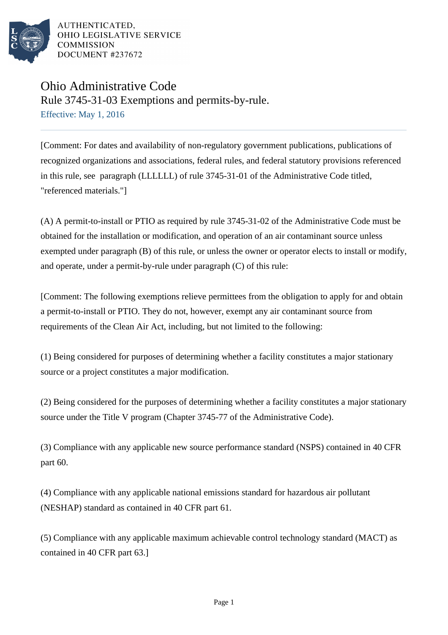

# Ohio Administrative Code Rule 3745-31-03 Exemptions and permits-by-rule. Effective: May 1, 2016

[Comment: For dates and availability of non-regulatory government publications, publications of recognized organizations and associations, federal rules, and federal statutory provisions referenced in this rule, see paragraph (LLLLLL) of rule 3745-31-01 of the Administrative Code titled, "referenced materials."]

(A) A permit-to-install or PTIO as required by rule 3745-31-02 of the Administrative Code must be obtained for the installation or modification, and operation of an air contaminant source unless exempted under paragraph (B) of this rule, or unless the owner or operator elects to install or modify, and operate, under a permit-by-rule under paragraph (C) of this rule:

[Comment: The following exemptions relieve permittees from the obligation to apply for and obtain a permit-to-install or PTIO. They do not, however, exempt any air contaminant source from requirements of the Clean Air Act, including, but not limited to the following:

(1) Being considered for purposes of determining whether a facility constitutes a major stationary source or a project constitutes a major modification.

(2) Being considered for the purposes of determining whether a facility constitutes a major stationary source under the Title V program (Chapter 3745-77 of the Administrative Code).

(3) Compliance with any applicable new source performance standard (NSPS) contained in 40 CFR part 60.

(4) Compliance with any applicable national emissions standard for hazardous air pollutant (NESHAP) standard as contained in 40 CFR part 61.

(5) Compliance with any applicable maximum achievable control technology standard (MACT) as contained in 40 CFR part 63.]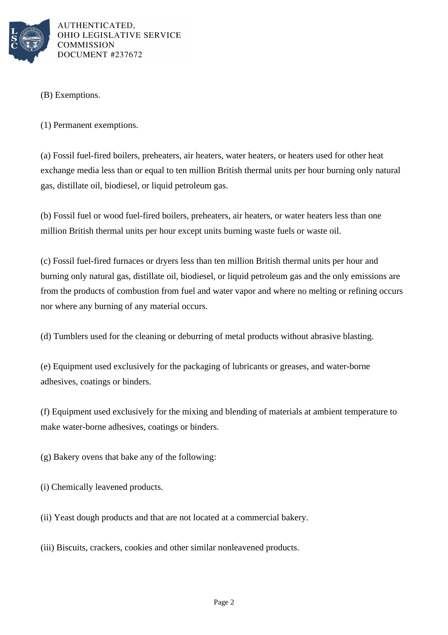

## (B) Exemptions.

(1) Permanent exemptions.

(a) Fossil fuel-fired boilers, preheaters, air heaters, water heaters, or heaters used for other heat exchange media less than or equal to ten million British thermal units per hour burning only natural gas, distillate oil, biodiesel, or liquid petroleum gas.

(b) Fossil fuel or wood fuel-fired boilers, preheaters, air heaters, or water heaters less than one million British thermal units per hour except units burning waste fuels or waste oil.

(c) Fossil fuel-fired furnaces or dryers less than ten million British thermal units per hour and burning only natural gas, distillate oil, biodiesel, or liquid petroleum gas and the only emissions are from the products of combustion from fuel and water vapor and where no melting or refining occurs nor where any burning of any material occurs.

(d) Tumblers used for the cleaning or deburring of metal products without abrasive blasting.

(e) Equipment used exclusively for the packaging of lubricants or greases, and water-borne adhesives, coatings or binders.

(f) Equipment used exclusively for the mixing and blending of materials at ambient temperature to make water-borne adhesives, coatings or binders.

(g) Bakery ovens that bake any of the following:

(i) Chemically leavened products.

(ii) Yeast dough products and that are not located at a commercial bakery.

(iii) Biscuits, crackers, cookies and other similar nonleavened products.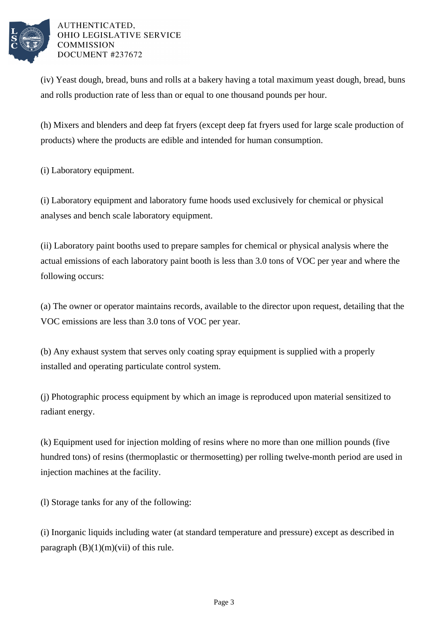

(iv) Yeast dough, bread, buns and rolls at a bakery having a total maximum yeast dough, bread, buns and rolls production rate of less than or equal to one thousand pounds per hour.

(h) Mixers and blenders and deep fat fryers (except deep fat fryers used for large scale production of products) where the products are edible and intended for human consumption.

(i) Laboratory equipment.

(i) Laboratory equipment and laboratory fume hoods used exclusively for chemical or physical analyses and bench scale laboratory equipment.

(ii) Laboratory paint booths used to prepare samples for chemical or physical analysis where the actual emissions of each laboratory paint booth is less than 3.0 tons of VOC per year and where the following occurs:

(a) The owner or operator maintains records, available to the director upon request, detailing that the VOC emissions are less than 3.0 tons of VOC per year.

(b) Any exhaust system that serves only coating spray equipment is supplied with a properly installed and operating particulate control system.

(j) Photographic process equipment by which an image is reproduced upon material sensitized to radiant energy.

(k) Equipment used for injection molding of resins where no more than one million pounds (five hundred tons) of resins (thermoplastic or thermosetting) per rolling twelve-month period are used in injection machines at the facility.

(l) Storage tanks for any of the following:

(i) Inorganic liquids including water (at standard temperature and pressure) except as described in paragraph  $(B)(1)(m)(vii)$  of this rule.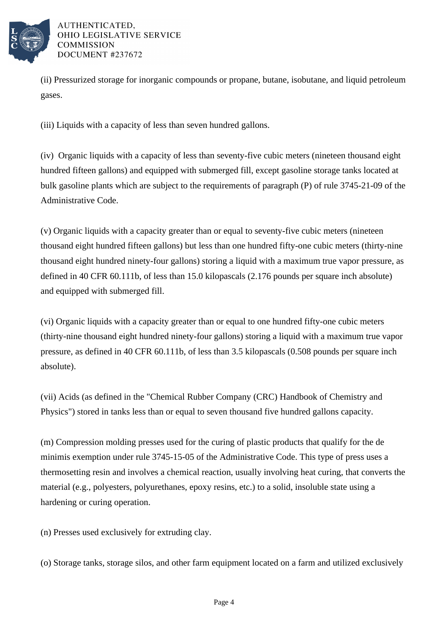

(ii) Pressurized storage for inorganic compounds or propane, butane, isobutane, and liquid petroleum gases.

(iii) Liquids with a capacity of less than seven hundred gallons.

(iv) Organic liquids with a capacity of less than seventy-five cubic meters (nineteen thousand eight hundred fifteen gallons) and equipped with submerged fill, except gasoline storage tanks located at bulk gasoline plants which are subject to the requirements of paragraph (P) of rule 3745-21-09 of the Administrative Code.

(v) Organic liquids with a capacity greater than or equal to seventy-five cubic meters (nineteen thousand eight hundred fifteen gallons) but less than one hundred fifty-one cubic meters (thirty-nine thousand eight hundred ninety-four gallons) storing a liquid with a maximum true vapor pressure, as defined in 40 CFR 60.111b, of less than 15.0 kilopascals (2.176 pounds per square inch absolute) and equipped with submerged fill.

(vi) Organic liquids with a capacity greater than or equal to one hundred fifty-one cubic meters (thirty-nine thousand eight hundred ninety-four gallons) storing a liquid with a maximum true vapor pressure, as defined in 40 CFR 60.111b, of less than 3.5 kilopascals (0.508 pounds per square inch absolute).

(vii) Acids (as defined in the "Chemical Rubber Company (CRC) Handbook of Chemistry and Physics") stored in tanks less than or equal to seven thousand five hundred gallons capacity.

(m) Compression molding presses used for the curing of plastic products that qualify for the de minimis exemption under rule 3745-15-05 of the Administrative Code. This type of press uses a thermosetting resin and involves a chemical reaction, usually involving heat curing, that converts the material (e.g., polyesters, polyurethanes, epoxy resins, etc.) to a solid, insoluble state using a hardening or curing operation.

(n) Presses used exclusively for extruding clay.

(o) Storage tanks, storage silos, and other farm equipment located on a farm and utilized exclusively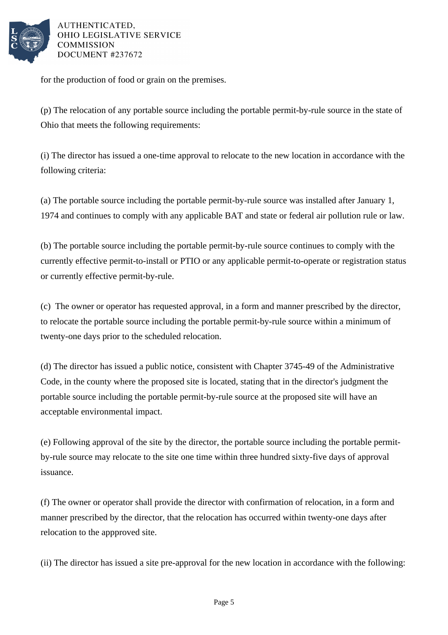

for the production of food or grain on the premises.

(p) The relocation of any portable source including the portable permit-by-rule source in the state of Ohio that meets the following requirements:

(i) The director has issued a one-time approval to relocate to the new location in accordance with the following criteria:

(a) The portable source including the portable permit-by-rule source was installed after January 1, 1974 and continues to comply with any applicable BAT and state or federal air pollution rule or law.

(b) The portable source including the portable permit-by-rule source continues to comply with the currently effective permit-to-install or PTIO or any applicable permit-to-operate or registration status or currently effective permit-by-rule.

(c) The owner or operator has requested approval, in a form and manner prescribed by the director, to relocate the portable source including the portable permit-by-rule source within a minimum of twenty-one days prior to the scheduled relocation.

(d) The director has issued a public notice, consistent with Chapter 3745-49 of the Administrative Code, in the county where the proposed site is located, stating that in the director's judgment the portable source including the portable permit-by-rule source at the proposed site will have an acceptable environmental impact.

(e) Following approval of the site by the director, the portable source including the portable permitby-rule source may relocate to the site one time within three hundred sixty-five days of approval issuance.

(f) The owner or operator shall provide the director with confirmation of relocation, in a form and manner prescribed by the director, that the relocation has occurred within twenty-one days after relocation to the appproved site.

(ii) The director has issued a site pre-approval for the new location in accordance with the following: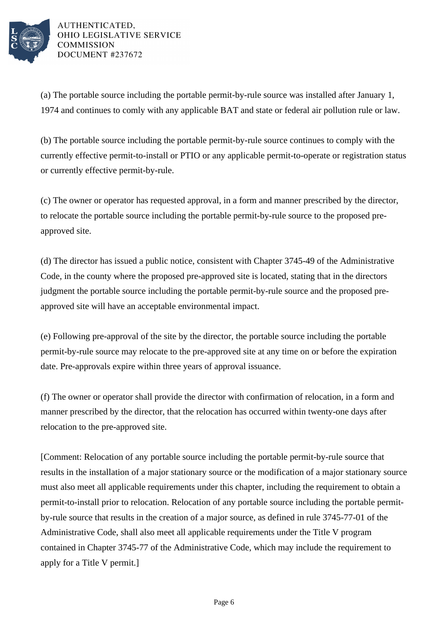

(a) The portable source including the portable permit-by-rule source was installed after January 1, 1974 and continues to comly with any applicable BAT and state or federal air pollution rule or law.

(b) The portable source including the portable permit-by-rule source continues to comply with the currently effective permit-to-install or PTIO or any applicable permit-to-operate or registration status or currently effective permit-by-rule.

(c) The owner or operator has requested approval, in a form and manner prescribed by the director, to relocate the portable source including the portable permit-by-rule source to the proposed preapproved site.

(d) The director has issued a public notice, consistent with Chapter 3745-49 of the Administrative Code, in the county where the proposed pre-approved site is located, stating that in the directors judgment the portable source including the portable permit-by-rule source and the proposed preapproved site will have an acceptable environmental impact.

(e) Following pre-approval of the site by the director, the portable source including the portable permit-by-rule source may relocate to the pre-approved site at any time on or before the expiration date. Pre-approvals expire within three years of approval issuance.

(f) The owner or operator shall provide the director with confirmation of relocation, in a form and manner prescribed by the director, that the relocation has occurred within twenty-one days after relocation to the pre-approved site.

[Comment: Relocation of any portable source including the portable permit-by-rule source that results in the installation of a major stationary source or the modification of a major stationary source must also meet all applicable requirements under this chapter, including the requirement to obtain a permit-to-install prior to relocation. Relocation of any portable source including the portable permitby-rule source that results in the creation of a major source, as defined in rule 3745-77-01 of the Administrative Code, shall also meet all applicable requirements under the Title V program contained in Chapter 3745-77 of the Administrative Code, which may include the requirement to apply for a Title V permit.]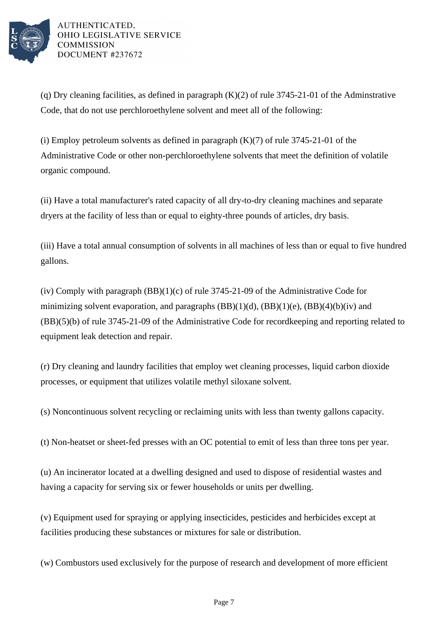

(q) Dry cleaning facilities, as defined in paragraph (K)(2) of rule 3745-21-01 of the Adminstrative Code, that do not use perchloroethylene solvent and meet all of the following:

(i) Employ petroleum solvents as defined in paragraph  $(K)(7)$  of rule 3745-21-01 of the Administrative Code or other non-perchloroethylene solvents that meet the definition of volatile organic compound.

(ii) Have a total manufacturer's rated capacity of all dry-to-dry cleaning machines and separate dryers at the facility of less than or equal to eighty-three pounds of articles, dry basis.

(iii) Have a total annual consumption of solvents in all machines of less than or equal to five hundred gallons.

(iv) Comply with paragraph  $(BB)(1)(c)$  of rule 3745-21-09 of the Administrative Code for minimizing solvent evaporation, and paragraphs  $(BB)(1)(d)$ ,  $(BB)(1)(e)$ ,  $(BB)(4)(b)(iv)$  and (BB)(5)(b) of rule 3745-21-09 of the Administrative Code for recordkeeping and reporting related to equipment leak detection and repair.

(r) Dry cleaning and laundry facilities that employ wet cleaning processes, liquid carbon dioxide processes, or equipment that utilizes volatile methyl siloxane solvent.

(s) Noncontinuous solvent recycling or reclaiming units with less than twenty gallons capacity.

(t) Non-heatset or sheet-fed presses with an OC potential to emit of less than three tons per year.

(u) An incinerator located at a dwelling designed and used to dispose of residential wastes and having a capacity for serving six or fewer households or units per dwelling.

(v) Equipment used for spraying or applying insecticides, pesticides and herbicides except at facilities producing these substances or mixtures for sale or distribution.

(w) Combustors used exclusively for the purpose of research and development of more efficient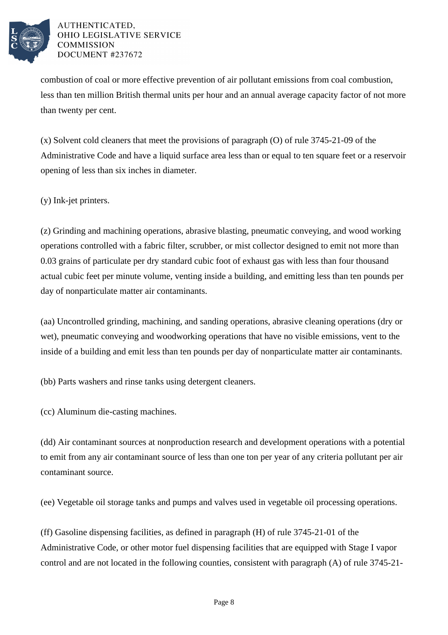

combustion of coal or more effective prevention of air pollutant emissions from coal combustion, less than ten million British thermal units per hour and an annual average capacity factor of not more than twenty per cent.

(x) Solvent cold cleaners that meet the provisions of paragraph (O) of rule 3745-21-09 of the Administrative Code and have a liquid surface area less than or equal to ten square feet or a reservoir opening of less than six inches in diameter.

(y) Ink-jet printers.

(z) Grinding and machining operations, abrasive blasting, pneumatic conveying, and wood working operations controlled with a fabric filter, scrubber, or mist collector designed to emit not more than 0.03 grains of particulate per dry standard cubic foot of exhaust gas with less than four thousand actual cubic feet per minute volume, venting inside a building, and emitting less than ten pounds per day of nonparticulate matter air contaminants.

(aa) Uncontrolled grinding, machining, and sanding operations, abrasive cleaning operations (dry or wet), pneumatic conveying and woodworking operations that have no visible emissions, vent to the inside of a building and emit less than ten pounds per day of nonparticulate matter air contaminants.

(bb) Parts washers and rinse tanks using detergent cleaners.

(cc) Aluminum die-casting machines.

(dd) Air contaminant sources at nonproduction research and development operations with a potential to emit from any air contaminant source of less than one ton per year of any criteria pollutant per air contaminant source.

(ee) Vegetable oil storage tanks and pumps and valves used in vegetable oil processing operations.

(ff) Gasoline dispensing facilities, as defined in paragraph (H) of rule 3745-21-01 of the Administrative Code, or other motor fuel dispensing facilities that are equipped with Stage I vapor control and are not located in the following counties, consistent with paragraph (A) of rule 3745-21-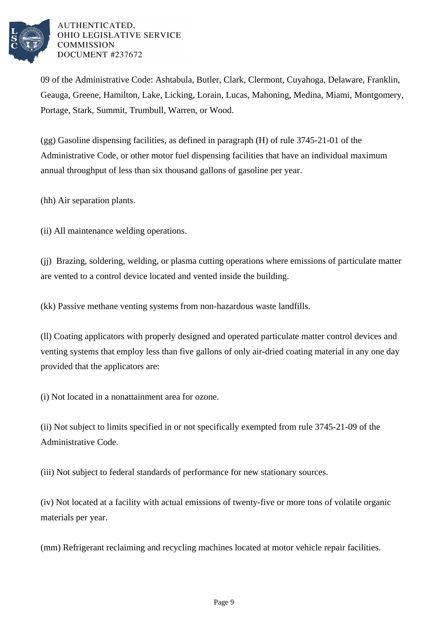

09 of the Administrative Code: Ashtabula, Butler, Clark, Clermont, Cuyahoga, Delaware, Franklin, Geauga, Greene, Hamilton, Lake, Licking, Lorain, Lucas, Mahoning, Medina, Miami, Montgomery, Portage, Stark, Summit, Trumbull, Warren, or Wood.

(gg) Gasoline dispensing facilities, as defined in paragraph (H) of rule 3745-21-01 of the Administrative Code, or other motor fuel dispensing facilities that have an individual maximum annual throughput of less than six thousand gallons of gasoline per year.

(hh) Air separation plants.

(ii) All maintenance welding operations.

(jj) Brazing, soldering, welding, or plasma cutting operations where emissions of particulate matter are vented to a control device located and vented inside the building.

(kk) Passive methane venting systems from non-hazardous waste landfills.

(ll) Coating applicators with properly designed and operated particulate matter control devices and venting systems that employ less than five gallons of only air-dried coating material in any one day provided that the applicators are:

(i) Not located in a nonattainment area for ozone.

(ii) Not subject to limits specified in or not specifically exempted from rule 3745-21-09 of the Administrative Code.

(iii) Not subject to federal standards of performance for new stationary sources.

(iv) Not located at a facility with actual emissions of twenty-five or more tons of volatile organic materials per year.

(mm) Refrigerant reclaiming and recycling machines located at motor vehicle repair facilities.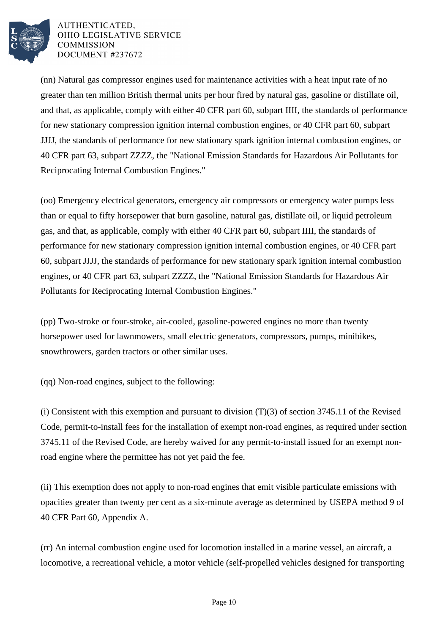

(nn) Natural gas compressor engines used for maintenance activities with a heat input rate of no greater than ten million British thermal units per hour fired by natural gas, gasoline or distillate oil, and that, as applicable, comply with either 40 CFR part 60, subpart IIII, the standards of performance for new stationary compression ignition internal combustion engines, or 40 CFR part 60, subpart JJJJ, the standards of performance for new stationary spark ignition internal combustion engines, or 40 CFR part 63, subpart ZZZZ, the "National Emission Standards for Hazardous Air Pollutants for Reciprocating Internal Combustion Engines."

(oo) Emergency electrical generators, emergency air compressors or emergency water pumps less than or equal to fifty horsepower that burn gasoline, natural gas, distillate oil, or liquid petroleum gas, and that, as applicable, comply with either 40 CFR part 60, subpart IIII, the standards of performance for new stationary compression ignition internal combustion engines, or 40 CFR part 60, subpart JJJJ, the standards of performance for new stationary spark ignition internal combustion engines, or 40 CFR part 63, subpart ZZZZ, the "National Emission Standards for Hazardous Air Pollutants for Reciprocating Internal Combustion Engines."

(pp) Two-stroke or four-stroke, air-cooled, gasoline-powered engines no more than twenty horsepower used for lawnmowers, small electric generators, compressors, pumps, minibikes, snowthrowers, garden tractors or other similar uses.

(qq) Non-road engines, subject to the following:

(i) Consistent with this exemption and pursuant to division  $(T)(3)$  of section 3745.11 of the Revised Code, permit-to-install fees for the installation of exempt non-road engines, as required under section 3745.11 of the Revised Code, are hereby waived for any permit-to-install issued for an exempt nonroad engine where the permittee has not yet paid the fee.

(ii) This exemption does not apply to non-road engines that emit visible particulate emissions with opacities greater than twenty per cent as a six-minute average as determined by USEPA method 9 of 40 CFR Part 60, Appendix A.

(rr) An internal combustion engine used for locomotion installed in a marine vessel, an aircraft, a locomotive, a recreational vehicle, a motor vehicle (self-propelled vehicles designed for transporting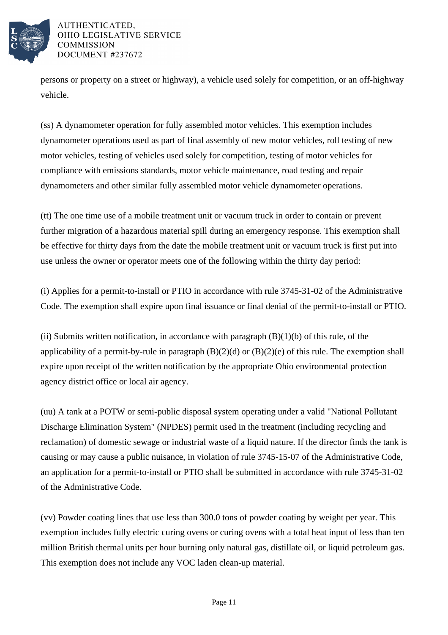

persons or property on a street or highway), a vehicle used solely for competition, or an off-highway vehicle.

(ss) A dynamometer operation for fully assembled motor vehicles. This exemption includes dynamometer operations used as part of final assembly of new motor vehicles, roll testing of new motor vehicles, testing of vehicles used solely for competition, testing of motor vehicles for compliance with emissions standards, motor vehicle maintenance, road testing and repair dynamometers and other similar fully assembled motor vehicle dynamometer operations.

(tt) The one time use of a mobile treatment unit or vacuum truck in order to contain or prevent further migration of a hazardous material spill during an emergency response. This exemption shall be effective for thirty days from the date the mobile treatment unit or vacuum truck is first put into use unless the owner or operator meets one of the following within the thirty day period:

(i) Applies for a permit-to-install or PTIO in accordance with rule 3745-31-02 of the Administrative Code. The exemption shall expire upon final issuance or final denial of the permit-to-install or PTIO.

(ii) Submits written notification, in accordance with paragraph  $(B)(1)(b)$  of this rule, of the applicability of a permit-by-rule in paragraph  $(B)(2)(d)$  or  $(B)(2)(e)$  of this rule. The exemption shall expire upon receipt of the written notification by the appropriate Ohio environmental protection agency district office or local air agency.

(uu) A tank at a POTW or semi-public disposal system operating under a valid "National Pollutant Discharge Elimination System" (NPDES) permit used in the treatment (including recycling and reclamation) of domestic sewage or industrial waste of a liquid nature. If the director finds the tank is causing or may cause a public nuisance, in violation of rule 3745-15-07 of the Administrative Code, an application for a permit-to-install or PTIO shall be submitted in accordance with rule 3745-31-02 of the Administrative Code.

(vv) Powder coating lines that use less than 300.0 tons of powder coating by weight per year. This exemption includes fully electric curing ovens or curing ovens with a total heat input of less than ten million British thermal units per hour burning only natural gas, distillate oil, or liquid petroleum gas. This exemption does not include any VOC laden clean-up material.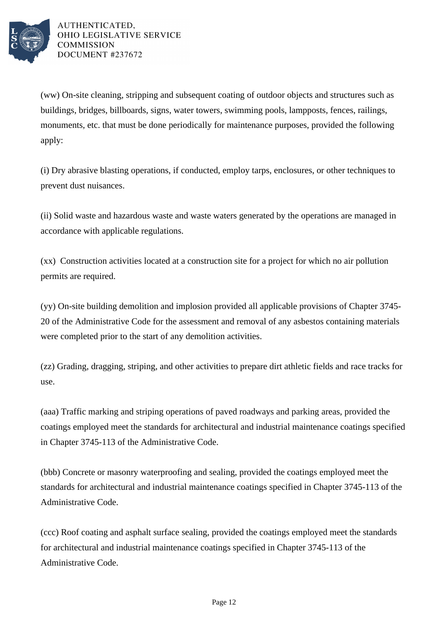

(ww) On-site cleaning, stripping and subsequent coating of outdoor objects and structures such as buildings, bridges, billboards, signs, water towers, swimming pools, lampposts, fences, railings, monuments, etc. that must be done periodically for maintenance purposes, provided the following apply:

(i) Dry abrasive blasting operations, if conducted, employ tarps, enclosures, or other techniques to prevent dust nuisances.

(ii) Solid waste and hazardous waste and waste waters generated by the operations are managed in accordance with applicable regulations.

(xx) Construction activities located at a construction site for a project for which no air pollution permits are required.

(yy) On-site building demolition and implosion provided all applicable provisions of Chapter 3745- 20 of the Administrative Code for the assessment and removal of any asbestos containing materials were completed prior to the start of any demolition activities.

(zz) Grading, dragging, striping, and other activities to prepare dirt athletic fields and race tracks for use.

(aaa) Traffic marking and striping operations of paved roadways and parking areas, provided the coatings employed meet the standards for architectural and industrial maintenance coatings specified in Chapter 3745-113 of the Administrative Code.

(bbb) Concrete or masonry waterproofing and sealing, provided the coatings employed meet the standards for architectural and industrial maintenance coatings specified in Chapter 3745-113 of the Administrative Code.

(ccc) Roof coating and asphalt surface sealing, provided the coatings employed meet the standards for architectural and industrial maintenance coatings specified in Chapter 3745-113 of the Administrative Code.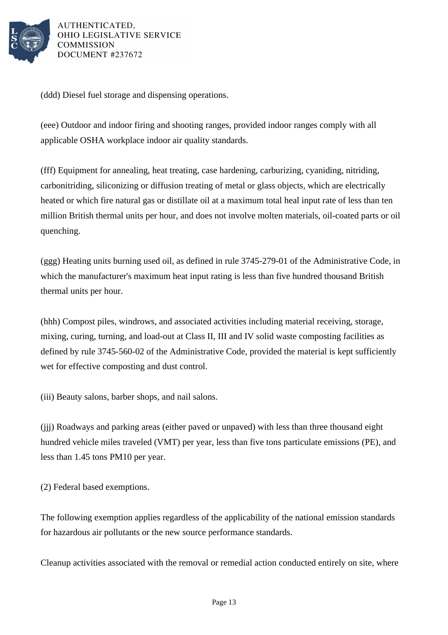

(ddd) Diesel fuel storage and dispensing operations.

(eee) Outdoor and indoor firing and shooting ranges, provided indoor ranges comply with all applicable OSHA workplace indoor air quality standards.

(fff) Equipment for annealing, heat treating, case hardening, carburizing, cyaniding, nitriding, carbonitriding, siliconizing or diffusion treating of metal or glass objects, which are electrically heated or which fire natural gas or distillate oil at a maximum total heal input rate of less than ten million British thermal units per hour, and does not involve molten materials, oil-coated parts or oil quenching.

(ggg) Heating units burning used oil, as defined in rule 3745-279-01 of the Administrative Code, in which the manufacturer's maximum heat input rating is less than five hundred thousand British thermal units per hour.

(hhh) Compost piles, windrows, and associated activities including material receiving, storage, mixing, curing, turning, and load-out at Class II, III and IV solid waste composting facilities as defined by rule 3745-560-02 of the Administrative Code, provided the material is kept sufficiently wet for effective composting and dust control.

(iii) Beauty salons, barber shops, and nail salons.

(jjj) Roadways and parking areas (either paved or unpaved) with less than three thousand eight hundred vehicle miles traveled (VMT) per year, less than five tons particulate emissions (PE), and less than 1.45 tons PM10 per year.

(2) Federal based exemptions.

The following exemption applies regardless of the applicability of the national emission standards for hazardous air pollutants or the new source performance standards.

Cleanup activities associated with the removal or remedial action conducted entirely on site, where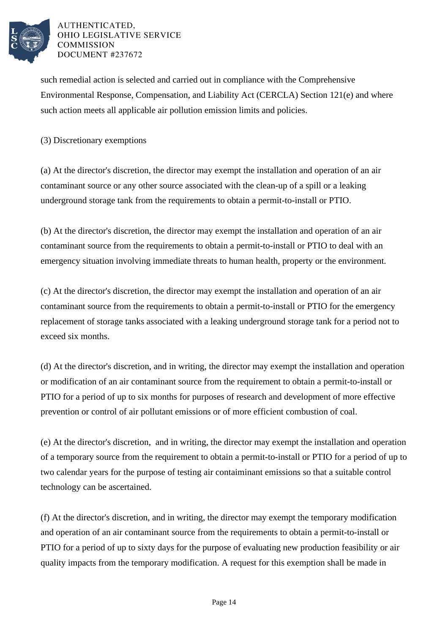

such remedial action is selected and carried out in compliance with the Comprehensive Environmental Response, Compensation, and Liability Act (CERCLA) Section 121(e) and where such action meets all applicable air pollution emission limits and policies.

(3) Discretionary exemptions

(a) At the director's discretion, the director may exempt the installation and operation of an air contaminant source or any other source associated with the clean-up of a spill or a leaking underground storage tank from the requirements to obtain a permit-to-install or PTIO.

(b) At the director's discretion, the director may exempt the installation and operation of an air contaminant source from the requirements to obtain a permit-to-install or PTIO to deal with an emergency situation involving immediate threats to human health, property or the environment.

(c) At the director's discretion, the director may exempt the installation and operation of an air contaminant source from the requirements to obtain a permit-to-install or PTIO for the emergency replacement of storage tanks associated with a leaking underground storage tank for a period not to exceed six months.

(d) At the director's discretion, and in writing, the director may exempt the installation and operation or modification of an air contaminant source from the requirement to obtain a permit-to-install or PTIO for a period of up to six months for purposes of research and development of more effective prevention or control of air pollutant emissions or of more efficient combustion of coal.

(e) At the director's discretion, and in writing, the director may exempt the installation and operation of a temporary source from the requirement to obtain a permit-to-install or PTIO for a period of up to two calendar years for the purpose of testing air contaiminant emissions so that a suitable control technology can be ascertained.

(f) At the director's discretion, and in writing, the director may exempt the temporary modification and operation of an air contaminant source from the requirements to obtain a permit-to-install or PTIO for a period of up to sixty days for the purpose of evaluating new production feasibility or air quality impacts from the temporary modification. A request for this exemption shall be made in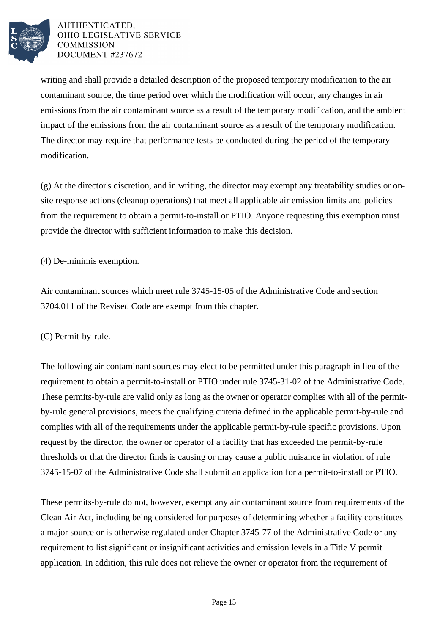

writing and shall provide a detailed description of the proposed temporary modification to the air contaminant source, the time period over which the modification will occur, any changes in air emissions from the air contaminant source as a result of the temporary modification, and the ambient impact of the emissions from the air contaminant source as a result of the temporary modification. The director may require that performance tests be conducted during the period of the temporary modification.

(g) At the director's discretion, and in writing, the director may exempt any treatability studies or onsite response actions (cleanup operations) that meet all applicable air emission limits and policies from the requirement to obtain a permit-to-install or PTIO. Anyone requesting this exemption must provide the director with sufficient information to make this decision.

(4) De-minimis exemption.

Air contaminant sources which meet rule 3745-15-05 of the Administrative Code and section 3704.011 of the Revised Code are exempt from this chapter.

(C) Permit-by-rule.

The following air contaminant sources may elect to be permitted under this paragraph in lieu of the requirement to obtain a permit-to-install or PTIO under rule 3745-31-02 of the Administrative Code. These permits-by-rule are valid only as long as the owner or operator complies with all of the permitby-rule general provisions, meets the qualifying criteria defined in the applicable permit-by-rule and complies with all of the requirements under the applicable permit-by-rule specific provisions. Upon request by the director, the owner or operator of a facility that has exceeded the permit-by-rule thresholds or that the director finds is causing or may cause a public nuisance in violation of rule 3745-15-07 of the Administrative Code shall submit an application for a permit-to-install or PTIO.

These permits-by-rule do not, however, exempt any air contaminant source from requirements of the Clean Air Act, including being considered for purposes of determining whether a facility constitutes a major source or is otherwise regulated under Chapter 3745-77 of the Administrative Code or any requirement to list significant or insignificant activities and emission levels in a Title V permit application. In addition, this rule does not relieve the owner or operator from the requirement of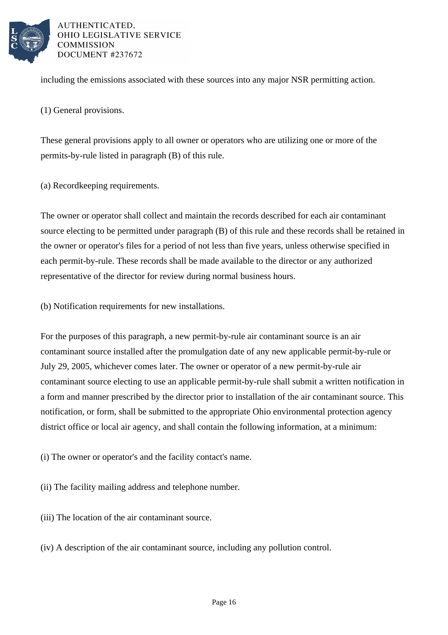

including the emissions associated with these sources into any major NSR permitting action.

(1) General provisions.

These general provisions apply to all owner or operators who are utilizing one or more of the permits-by-rule listed in paragraph (B) of this rule.

(a) Recordkeeping requirements.

The owner or operator shall collect and maintain the records described for each air contaminant source electing to be permitted under paragraph (B) of this rule and these records shall be retained in the owner or operator's files for a period of not less than five years, unless otherwise specified in each permit-by-rule. These records shall be made available to the director or any authorized representative of the director for review during normal business hours.

(b) Notification requirements for new installations.

For the purposes of this paragraph, a new permit-by-rule air contaminant source is an air contaminant source installed after the promulgation date of any new applicable permit-by-rule or July 29, 2005, whichever comes later. The owner or operator of a new permit-by-rule air contaminant source electing to use an applicable permit-by-rule shall submit a written notification in a form and manner prescribed by the director prior to installation of the air contaminant source. This notification, or form, shall be submitted to the appropriate Ohio environmental protection agency district office or local air agency, and shall contain the following information, at a minimum:

(i) The owner or operator's and the facility contact's name.

(ii) The facility mailing address and telephone number.

(iii) The location of the air contaminant source.

(iv) A description of the air contaminant source, including any pollution control.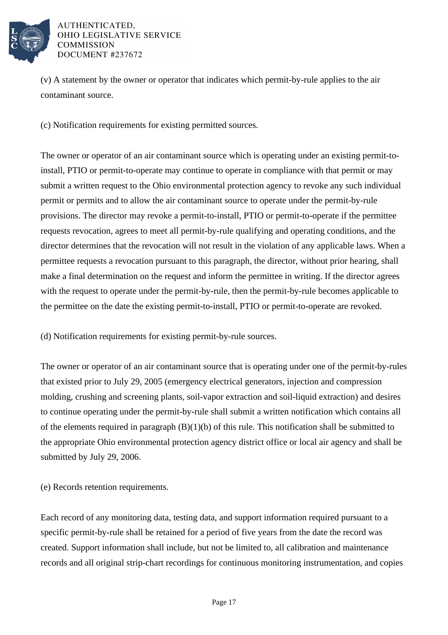

(v) A statement by the owner or operator that indicates which permit-by-rule applies to the air contaminant source.

(c) Notification requirements for existing permitted sources.

The owner or operator of an air contaminant source which is operating under an existing permit-toinstall, PTIO or permit-to-operate may continue to operate in compliance with that permit or may submit a written request to the Ohio environmental protection agency to revoke any such individual permit or permits and to allow the air contaminant source to operate under the permit-by-rule provisions. The director may revoke a permit-to-install, PTIO or permit-to-operate if the permittee requests revocation, agrees to meet all permit-by-rule qualifying and operating conditions, and the director determines that the revocation will not result in the violation of any applicable laws. When a permittee requests a revocation pursuant to this paragraph, the director, without prior hearing, shall make a final determination on the request and inform the permittee in writing. If the director agrees with the request to operate under the permit-by-rule, then the permit-by-rule becomes applicable to the permittee on the date the existing permit-to-install, PTIO or permit-to-operate are revoked.

(d) Notification requirements for existing permit-by-rule sources.

The owner or operator of an air contaminant source that is operating under one of the permit-by-rules that existed prior to July 29, 2005 (emergency electrical generators, injection and compression molding, crushing and screening plants, soil-vapor extraction and soil-liquid extraction) and desires to continue operating under the permit-by-rule shall submit a written notification which contains all of the elements required in paragraph  $(B)(1)(b)$  of this rule. This notification shall be submitted to the appropriate Ohio environmental protection agency district office or local air agency and shall be submitted by July 29, 2006.

(e) Records retention requirements.

Each record of any monitoring data, testing data, and support information required pursuant to a specific permit-by-rule shall be retained for a period of five years from the date the record was created. Support information shall include, but not be limited to, all calibration and maintenance records and all original strip-chart recordings for continuous monitoring instrumentation, and copies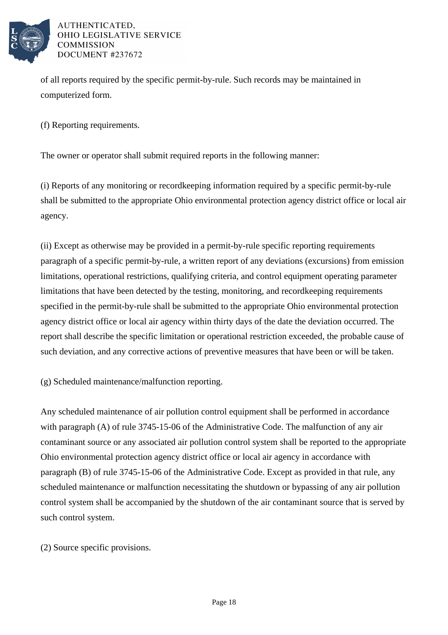

of all reports required by the specific permit-by-rule. Such records may be maintained in computerized form.

(f) Reporting requirements.

The owner or operator shall submit required reports in the following manner:

(i) Reports of any monitoring or recordkeeping information required by a specific permit-by-rule shall be submitted to the appropriate Ohio environmental protection agency district office or local air agency.

(ii) Except as otherwise may be provided in a permit-by-rule specific reporting requirements paragraph of a specific permit-by-rule, a written report of any deviations (excursions) from emission limitations, operational restrictions, qualifying criteria, and control equipment operating parameter limitations that have been detected by the testing, monitoring, and recordkeeping requirements specified in the permit-by-rule shall be submitted to the appropriate Ohio environmental protection agency district office or local air agency within thirty days of the date the deviation occurred. The report shall describe the specific limitation or operational restriction exceeded, the probable cause of such deviation, and any corrective actions of preventive measures that have been or will be taken.

(g) Scheduled maintenance/malfunction reporting.

Any scheduled maintenance of air pollution control equipment shall be performed in accordance with paragraph (A) of rule 3745-15-06 of the Administrative Code. The malfunction of any air contaminant source or any associated air pollution control system shall be reported to the appropriate Ohio environmental protection agency district office or local air agency in accordance with paragraph (B) of rule 3745-15-06 of the Administrative Code. Except as provided in that rule, any scheduled maintenance or malfunction necessitating the shutdown or bypassing of any air pollution control system shall be accompanied by the shutdown of the air contaminant source that is served by such control system.

(2) Source specific provisions.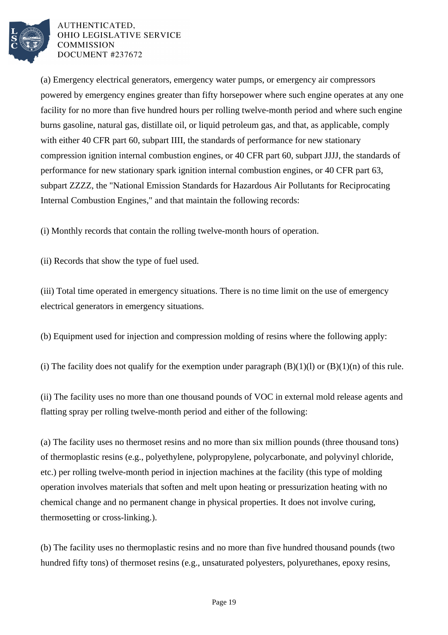

(a) Emergency electrical generators, emergency water pumps, or emergency air compressors powered by emergency engines greater than fifty horsepower where such engine operates at any one facility for no more than five hundred hours per rolling twelve-month period and where such engine burns gasoline, natural gas, distillate oil, or liquid petroleum gas, and that, as applicable, comply with either 40 CFR part 60, subpart IIII, the standards of performance for new stationary compression ignition internal combustion engines, or 40 CFR part 60, subpart JJJJ, the standards of performance for new stationary spark ignition internal combustion engines, or 40 CFR part 63, subpart ZZZZ, the "National Emission Standards for Hazardous Air Pollutants for Reciprocating Internal Combustion Engines," and that maintain the following records:

(i) Monthly records that contain the rolling twelve-month hours of operation.

(ii) Records that show the type of fuel used.

(iii) Total time operated in emergency situations. There is no time limit on the use of emergency electrical generators in emergency situations.

(b) Equipment used for injection and compression molding of resins where the following apply:

(i) The facility does not qualify for the exemption under paragraph  $(B)(1)(l)$  or  $(B)(1)(n)$  of this rule.

(ii) The facility uses no more than one thousand pounds of VOC in external mold release agents and flatting spray per rolling twelve-month period and either of the following:

(a) The facility uses no thermoset resins and no more than six million pounds (three thousand tons) of thermoplastic resins (e.g., polyethylene, polypropylene, polycarbonate, and polyvinyl chloride, etc.) per rolling twelve-month period in injection machines at the facility (this type of molding operation involves materials that soften and melt upon heating or pressurization heating with no chemical change and no permanent change in physical properties. It does not involve curing, thermosetting or cross-linking.).

(b) The facility uses no thermoplastic resins and no more than five hundred thousand pounds (two hundred fifty tons) of thermoset resins (e.g., unsaturated polyesters, polyurethanes, epoxy resins,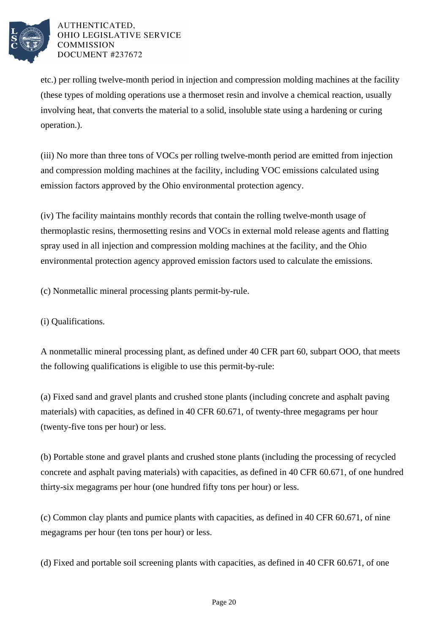

etc.) per rolling twelve-month period in injection and compression molding machines at the facility (these types of molding operations use a thermoset resin and involve a chemical reaction, usually involving heat, that converts the material to a solid, insoluble state using a hardening or curing operation.).

(iii) No more than three tons of VOCs per rolling twelve-month period are emitted from injection and compression molding machines at the facility, including VOC emissions calculated using emission factors approved by the Ohio environmental protection agency.

(iv) The facility maintains monthly records that contain the rolling twelve-month usage of thermoplastic resins, thermosetting resins and VOCs in external mold release agents and flatting spray used in all injection and compression molding machines at the facility, and the Ohio environmental protection agency approved emission factors used to calculate the emissions.

(c) Nonmetallic mineral processing plants permit-by-rule.

(i) Qualifications.

A nonmetallic mineral processing plant, as defined under 40 CFR part 60, subpart OOO, that meets the following qualifications is eligible to use this permit-by-rule:

(a) Fixed sand and gravel plants and crushed stone plants (including concrete and asphalt paving materials) with capacities, as defined in 40 CFR 60.671, of twenty-three megagrams per hour (twenty-five tons per hour) or less.

(b) Portable stone and gravel plants and crushed stone plants (including the processing of recycled concrete and asphalt paving materials) with capacities, as defined in 40 CFR 60.671, of one hundred thirty-six megagrams per hour (one hundred fifty tons per hour) or less.

(c) Common clay plants and pumice plants with capacities, as defined in 40 CFR 60.671, of nine megagrams per hour (ten tons per hour) or less.

(d) Fixed and portable soil screening plants with capacities, as defined in 40 CFR 60.671, of one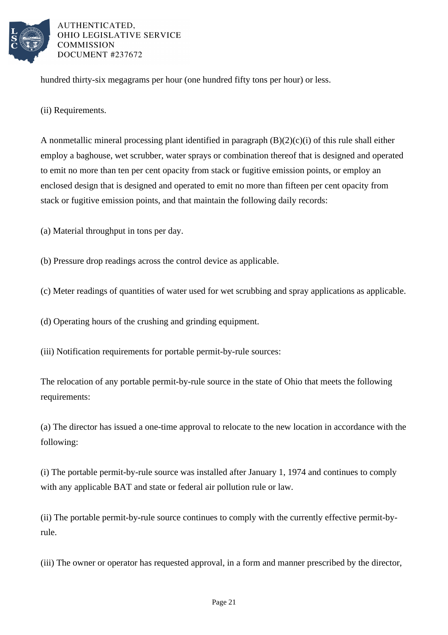

hundred thirty-six megagrams per hour (one hundred fifty tons per hour) or less.

(ii) Requirements.

A nonmetallic mineral processing plant identified in paragraph  $(B)(2)(c)(i)$  of this rule shall either employ a baghouse, wet scrubber, water sprays or combination thereof that is designed and operated to emit no more than ten per cent opacity from stack or fugitive emission points, or employ an enclosed design that is designed and operated to emit no more than fifteen per cent opacity from stack or fugitive emission points, and that maintain the following daily records:

(a) Material throughput in tons per day.

(b) Pressure drop readings across the control device as applicable.

(c) Meter readings of quantities of water used for wet scrubbing and spray applications as applicable.

(d) Operating hours of the crushing and grinding equipment.

(iii) Notification requirements for portable permit-by-rule sources:

The relocation of any portable permit-by-rule source in the state of Ohio that meets the following requirements:

(a) The director has issued a one-time approval to relocate to the new location in accordance with the following:

(i) The portable permit-by-rule source was installed after January 1, 1974 and continues to comply with any applicable BAT and state or federal air pollution rule or law.

(ii) The portable permit-by-rule source continues to comply with the currently effective permit-byrule.

(iii) The owner or operator has requested approval, in a form and manner prescribed by the director,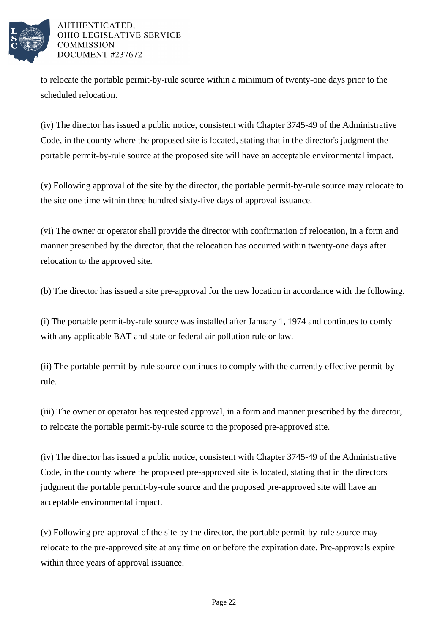

to relocate the portable permit-by-rule source within a minimum of twenty-one days prior to the scheduled relocation.

(iv) The director has issued a public notice, consistent with Chapter 3745-49 of the Administrative Code, in the county where the proposed site is located, stating that in the director's judgment the portable permit-by-rule source at the proposed site will have an acceptable environmental impact.

(v) Following approval of the site by the director, the portable permit-by-rule source may relocate to the site one time within three hundred sixty-five days of approval issuance.

(vi) The owner or operator shall provide the director with confirmation of relocation, in a form and manner prescribed by the director, that the relocation has occurred within twenty-one days after relocation to the approved site.

(b) The director has issued a site pre-approval for the new location in accordance with the following.

(i) The portable permit-by-rule source was installed after January 1, 1974 and continues to comly with any applicable BAT and state or federal air pollution rule or law.

(ii) The portable permit-by-rule source continues to comply with the currently effective permit-byrule.

(iii) The owner or operator has requested approval, in a form and manner prescribed by the director, to relocate the portable permit-by-rule source to the proposed pre-approved site.

(iv) The director has issued a public notice, consistent with Chapter 3745-49 of the Administrative Code, in the county where the proposed pre-approved site is located, stating that in the directors judgment the portable permit-by-rule source and the proposed pre-approved site will have an acceptable environmental impact.

(v) Following pre-approval of the site by the director, the portable permit-by-rule source may relocate to the pre-approved site at any time on or before the expiration date. Pre-approvals expire within three years of approval issuance.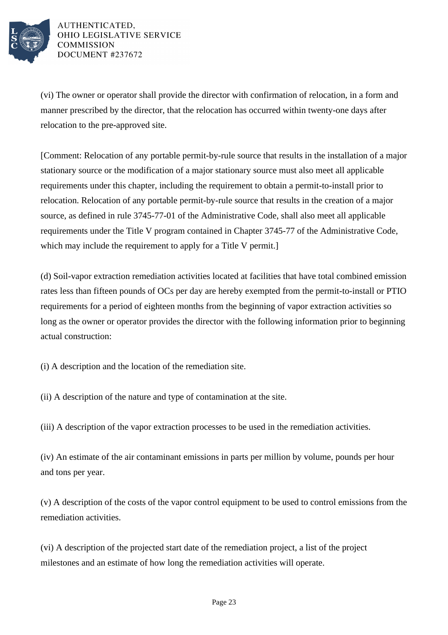

(vi) The owner or operator shall provide the director with confirmation of relocation, in a form and manner prescribed by the director, that the relocation has occurred within twenty-one days after relocation to the pre-approved site.

[Comment: Relocation of any portable permit-by-rule source that results in the installation of a major stationary source or the modification of a major stationary source must also meet all applicable requirements under this chapter, including the requirement to obtain a permit-to-install prior to relocation. Relocation of any portable permit-by-rule source that results in the creation of a major source, as defined in rule 3745-77-01 of the Administrative Code, shall also meet all applicable requirements under the Title V program contained in Chapter 3745-77 of the Administrative Code, which may include the requirement to apply for a Title V permit.

(d) Soil-vapor extraction remediation activities located at facilities that have total combined emission rates less than fifteen pounds of OCs per day are hereby exempted from the permit-to-install or PTIO requirements for a period of eighteen months from the beginning of vapor extraction activities so long as the owner or operator provides the director with the following information prior to beginning actual construction:

(i) A description and the location of the remediation site.

(ii) A description of the nature and type of contamination at the site.

(iii) A description of the vapor extraction processes to be used in the remediation activities.

(iv) An estimate of the air contaminant emissions in parts per million by volume, pounds per hour and tons per year.

(v) A description of the costs of the vapor control equipment to be used to control emissions from the remediation activities.

(vi) A description of the projected start date of the remediation project, a list of the project milestones and an estimate of how long the remediation activities will operate.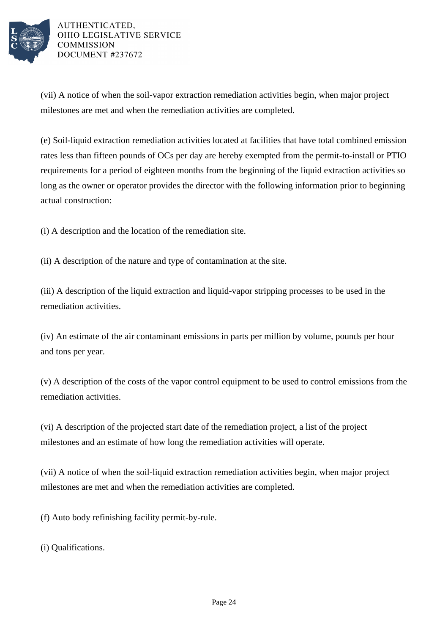

(vii) A notice of when the soil-vapor extraction remediation activities begin, when major project milestones are met and when the remediation activities are completed.

(e) Soil-liquid extraction remediation activities located at facilities that have total combined emission rates less than fifteen pounds of OCs per day are hereby exempted from the permit-to-install or PTIO requirements for a period of eighteen months from the beginning of the liquid extraction activities so long as the owner or operator provides the director with the following information prior to beginning actual construction:

(i) A description and the location of the remediation site.

(ii) A description of the nature and type of contamination at the site.

(iii) A description of the liquid extraction and liquid-vapor stripping processes to be used in the remediation activities.

(iv) An estimate of the air contaminant emissions in parts per million by volume, pounds per hour and tons per year.

(v) A description of the costs of the vapor control equipment to be used to control emissions from the remediation activities.

(vi) A description of the projected start date of the remediation project, a list of the project milestones and an estimate of how long the remediation activities will operate.

(vii) A notice of when the soil-liquid extraction remediation activities begin, when major project milestones are met and when the remediation activities are completed.

(f) Auto body refinishing facility permit-by-rule.

(i) Qualifications.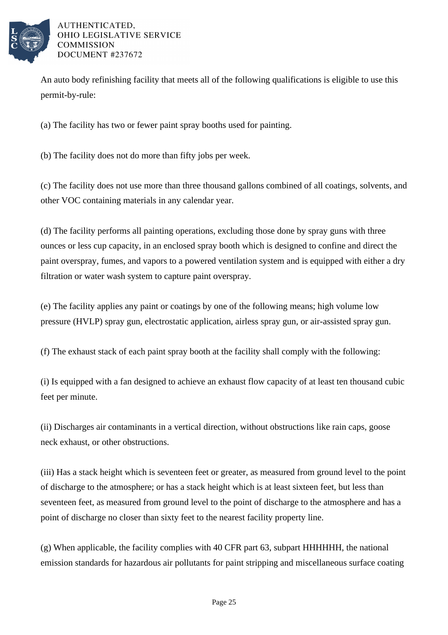

An auto body refinishing facility that meets all of the following qualifications is eligible to use this permit-by-rule:

(a) The facility has two or fewer paint spray booths used for painting.

(b) The facility does not do more than fifty jobs per week.

(c) The facility does not use more than three thousand gallons combined of all coatings, solvents, and other VOC containing materials in any calendar year.

(d) The facility performs all painting operations, excluding those done by spray guns with three ounces or less cup capacity, in an enclosed spray booth which is designed to confine and direct the paint overspray, fumes, and vapors to a powered ventilation system and is equipped with either a dry filtration or water wash system to capture paint overspray.

(e) The facility applies any paint or coatings by one of the following means; high volume low pressure (HVLP) spray gun, electrostatic application, airless spray gun, or air-assisted spray gun.

(f) The exhaust stack of each paint spray booth at the facility shall comply with the following:

(i) Is equipped with a fan designed to achieve an exhaust flow capacity of at least ten thousand cubic feet per minute.

(ii) Discharges air contaminants in a vertical direction, without obstructions like rain caps, goose neck exhaust, or other obstructions.

(iii) Has a stack height which is seventeen feet or greater, as measured from ground level to the point of discharge to the atmosphere; or has a stack height which is at least sixteen feet, but less than seventeen feet, as measured from ground level to the point of discharge to the atmosphere and has a point of discharge no closer than sixty feet to the nearest facility property line.

(g) When applicable, the facility complies with 40 CFR part 63, subpart HHHHHH, the national emission standards for hazardous air pollutants for paint stripping and miscellaneous surface coating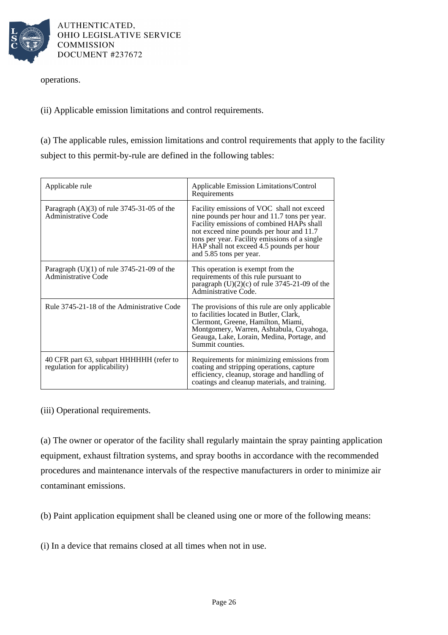

operations.

(ii) Applicable emission limitations and control requirements.

(a) The applicable rules, emission limitations and control requirements that apply to the facility subject to this permit-by-rule are defined in the following tables:

| Applicable rule                                                            | Applicable Emission Limitations/Control<br>Requirements                                                                                                                                                                                                                                                     |
|----------------------------------------------------------------------------|-------------------------------------------------------------------------------------------------------------------------------------------------------------------------------------------------------------------------------------------------------------------------------------------------------------|
| Paragraph $(A)(3)$ of rule 3745-31-05 of the<br>Administrative Code        | Facility emissions of VOC shall not exceed<br>nine pounds per hour and 11.7 tons per year.<br>Facility emissions of combined HAPs shall<br>not exceed nine pounds per hour and 11.7<br>tons per year. Facility emissions of a single<br>HAP shall not exceed 4.5 pounds per hour<br>and 5.85 tons per year. |
| Paragraph $(U)(1)$ of rule 3745-21-09 of the<br><b>Administrative Code</b> | This operation is exempt from the<br>requirements of this rule pursuant to<br>paragraph $(U)(2)(c)$ of rule 3745-21-09 of the<br>Administrative Code.                                                                                                                                                       |
| Rule 3745-21-18 of the Administrative Code                                 | The provisions of this rule are only applicable<br>to facilities located in Butler, Clark,<br>Clermont, Greene, Hamilton, Miami,<br>Montgomery, Warren, Ashtabula, Cuyahoga,<br>Geauga, Lake, Lorain, Medina, Portage, and<br>Summit counties.                                                              |
| 40 CFR part 63, subpart HHHHHH (refer to<br>regulation for applicability)  | Requirements for minimizing emissions from<br>coating and stripping operations, capture<br>efficiency, cleanup, storage and handling of<br>coatings and cleanup materials, and training.                                                                                                                    |

(iii) Operational requirements.

(a) The owner or operator of the facility shall regularly maintain the spray painting application equipment, exhaust filtration systems, and spray booths in accordance with the recommended procedures and maintenance intervals of the respective manufacturers in order to minimize air contaminant emissions.

(b) Paint application equipment shall be cleaned using one or more of the following means:

(i) In a device that remains closed at all times when not in use.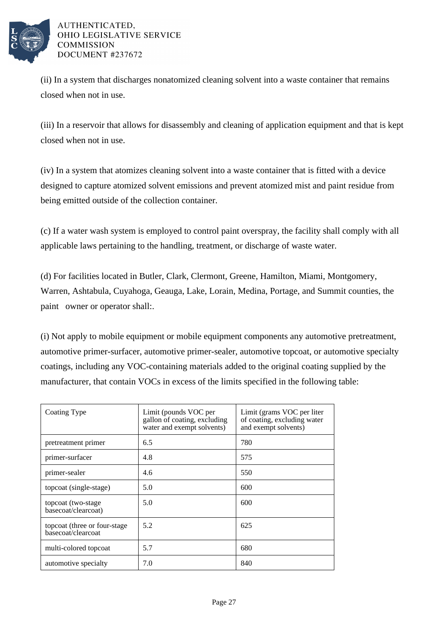

(ii) In a system that discharges nonatomized cleaning solvent into a waste container that remains closed when not in use.

(iii) In a reservoir that allows for disassembly and cleaning of application equipment and that is kept closed when not in use.

(iv) In a system that atomizes cleaning solvent into a waste container that is fitted with a device designed to capture atomized solvent emissions and prevent atomized mist and paint residue from being emitted outside of the collection container.

(c) If a water wash system is employed to control paint overspray, the facility shall comply with all applicable laws pertaining to the handling, treatment, or discharge of waste water.

(d) For facilities located in Butler, Clark, Clermont, Greene, Hamilton, Miami, Montgomery, Warren, Ashtabula, Cuyahoga, Geauga, Lake, Lorain, Medina, Portage, and Summit counties, the paint owner or operator shall:.

(i) Not apply to mobile equipment or mobile equipment components any automotive pretreatment, automotive primer-surfacer, automotive primer-sealer, automotive topcoat, or automotive specialty coatings, including any VOC-containing materials added to the original coating supplied by the manufacturer, that contain VOCs in excess of the limits specified in the following table:

| Coating Type                                        | Limit (pounds VOC per<br>gallon of coating, excluding<br>water and exempt solvents) | Limit (grams VOC per liter<br>of coating, excluding water<br>and exempt solvents) |
|-----------------------------------------------------|-------------------------------------------------------------------------------------|-----------------------------------------------------------------------------------|
| pretreatment primer                                 | 6.5                                                                                 | 780                                                                               |
| primer-surfacer                                     | 4.8                                                                                 | 575                                                                               |
| primer-sealer                                       | 4.6                                                                                 | 550                                                                               |
| topcoat (single-stage)                              | 5.0                                                                                 | 600                                                                               |
| topcoat (two-stage)<br>basecoat/clearcoat)          | 5.0                                                                                 | 600                                                                               |
| topcoat (three or four-stage)<br>basecoat/clearcoat | 5.2                                                                                 | 625                                                                               |
| multi-colored topcoat                               | 5.7                                                                                 | 680                                                                               |
| automotive specialty                                | 7.0                                                                                 | 840                                                                               |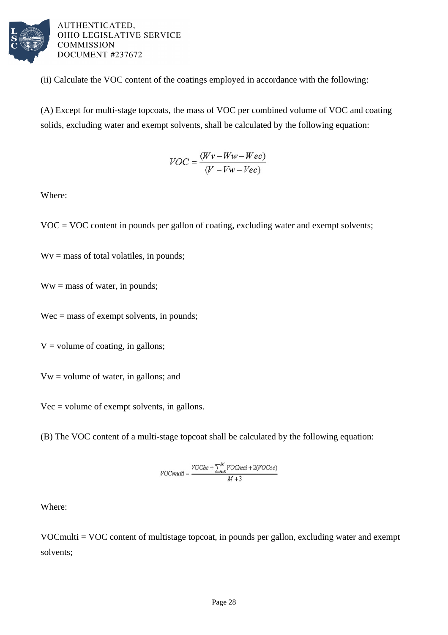

(ii) Calculate the VOC content of the coatings employed in accordance with the following:

(A) Except for multi-stage topcoats, the mass of VOC per combined volume of VOC and coating solids, excluding water and exempt solvents, shall be calculated by the following equation:

$$
VOC = \frac{(Wv - Ww - Wec)}{(V - Vw - Vec)}
$$

Where:

 $VOC = VOC$  content in pounds per gallon of coating, excluding water and exempt solvents;

 $Wv =$  mass of total volatiles, in pounds;

 $Ww =$  mass of water, in pounds;

Wec = mass of exempt solvents, in pounds;

 $V =$  volume of coating, in gallons;

Vw = volume of water, in gallons; and

Vec = volume of exempt solvents, in gallons.

(B) The VOC content of a multi-stage topcoat shall be calculated by the following equation:

$$
\textit{VOCmulti} = \frac{\textit{VOCbc}+\sum_{i=0}^{M}\textit{VOCmci}+2(\textit{VOCcc})}{M+3}
$$

Where:

VOCmulti = VOC content of multistage topcoat, in pounds per gallon, excluding water and exempt solvents;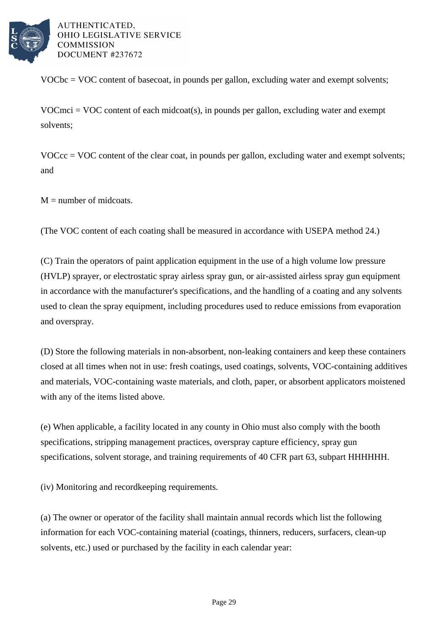

VOCbc = VOC content of basecoat, in pounds per gallon, excluding water and exempt solvents;

 $VOCmci = VOC$  content of each midcoat(s), in pounds per gallon, excluding water and exempt solvents;

 $VOCcc = VOC$  content of the clear coat, in pounds per gallon, excluding water and exempt solvents; and

 $M =$  number of midcoats.

(The VOC content of each coating shall be measured in accordance with USEPA method 24.)

(C) Train the operators of paint application equipment in the use of a high volume low pressure (HVLP) sprayer, or electrostatic spray airless spray gun, or air-assisted airless spray gun equipment in accordance with the manufacturer's specifications, and the handling of a coating and any solvents used to clean the spray equipment, including procedures used to reduce emissions from evaporation and overspray.

(D) Store the following materials in non-absorbent, non-leaking containers and keep these containers closed at all times when not in use: fresh coatings, used coatings, solvents, VOC-containing additives and materials, VOC-containing waste materials, and cloth, paper, or absorbent applicators moistened with any of the items listed above.

(e) When applicable, a facility located in any county in Ohio must also comply with the booth specifications, stripping management practices, overspray capture efficiency, spray gun specifications, solvent storage, and training requirements of 40 CFR part 63, subpart HHHHHH.

(iv) Monitoring and recordkeeping requirements.

(a) The owner or operator of the facility shall maintain annual records which list the following information for each VOC-containing material (coatings, thinners, reducers, surfacers, clean-up solvents, etc.) used or purchased by the facility in each calendar year: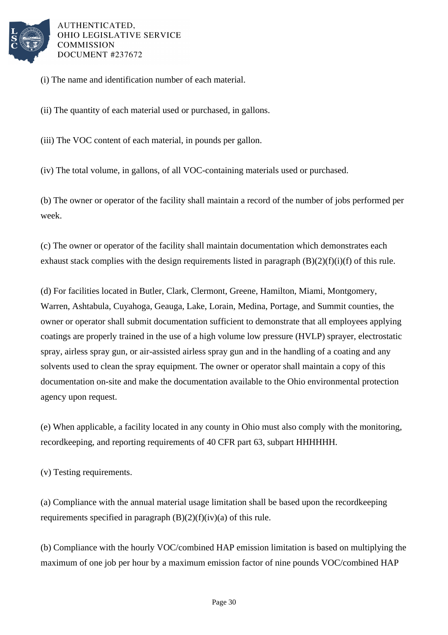

(i) The name and identification number of each material.

(ii) The quantity of each material used or purchased, in gallons.

(iii) The VOC content of each material, in pounds per gallon.

(iv) The total volume, in gallons, of all VOC-containing materials used or purchased.

(b) The owner or operator of the facility shall maintain a record of the number of jobs performed per week.

(c) The owner or operator of the facility shall maintain documentation which demonstrates each exhaust stack complies with the design requirements listed in paragraph  $(B)(2)(f)(i)$  of this rule.

(d) For facilities located in Butler, Clark, Clermont, Greene, Hamilton, Miami, Montgomery, Warren, Ashtabula, Cuyahoga, Geauga, Lake, Lorain, Medina, Portage, and Summit counties, the owner or operator shall submit documentation sufficient to demonstrate that all employees applying coatings are properly trained in the use of a high volume low pressure (HVLP) sprayer, electrostatic spray, airless spray gun, or air-assisted airless spray gun and in the handling of a coating and any solvents used to clean the spray equipment. The owner or operator shall maintain a copy of this documentation on-site and make the documentation available to the Ohio environmental protection agency upon request.

(e) When applicable, a facility located in any county in Ohio must also comply with the monitoring, recordkeeping, and reporting requirements of 40 CFR part 63, subpart HHHHHH.

(v) Testing requirements.

(a) Compliance with the annual material usage limitation shall be based upon the recordkeeping requirements specified in paragraph  $(B)(2)(f)(iv)(a)$  of this rule.

(b) Compliance with the hourly VOC/combined HAP emission limitation is based on multiplying the maximum of one job per hour by a maximum emission factor of nine pounds VOC/combined HAP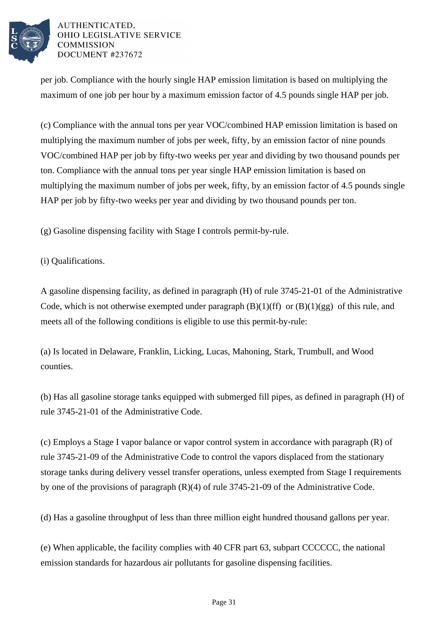

per job. Compliance with the hourly single HAP emission limitation is based on multiplying the maximum of one job per hour by a maximum emission factor of 4.5 pounds single HAP per job.

(c) Compliance with the annual tons per year VOC/combined HAP emission limitation is based on multiplying the maximum number of jobs per week, fifty, by an emission factor of nine pounds VOC/combined HAP per job by fifty-two weeks per year and dividing by two thousand pounds per ton. Compliance with the annual tons per year single HAP emission limitation is based on multiplying the maximum number of jobs per week, fifty, by an emission factor of 4.5 pounds single HAP per job by fifty-two weeks per year and dividing by two thousand pounds per ton.

(g) Gasoline dispensing facility with Stage I controls permit-by-rule.

(i) Qualifications.

A gasoline dispensing facility, as defined in paragraph (H) of rule 3745-21-01 of the Administrative Code, which is not otherwise exempted under paragraph  $(B)(1)(ff)$  or  $(B)(1)(gg)$  of this rule, and meets all of the following conditions is eligible to use this permit-by-rule:

(a) Is located in Delaware, Franklin, Licking, Lucas, Mahoning, Stark, Trumbull, and Wood counties.

(b) Has all gasoline storage tanks equipped with submerged fill pipes, as defined in paragraph (H) of rule 3745-21-01 of the Administrative Code.

(c) Employs a Stage I vapor balance or vapor control system in accordance with paragraph (R) of rule 3745-21-09 of the Administrative Code to control the vapors displaced from the stationary storage tanks during delivery vessel transfer operations, unless exempted from Stage I requirements by one of the provisions of paragraph (R)(4) of rule 3745-21-09 of the Administrative Code.

(d) Has a gasoline throughput of less than three million eight hundred thousand gallons per year.

(e) When applicable, the facility complies with 40 CFR part 63, subpart CCCCCC, the national emission standards for hazardous air pollutants for gasoline dispensing facilities.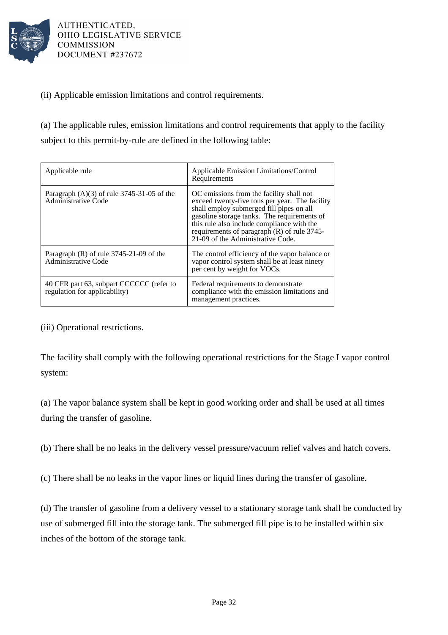

(ii) Applicable emission limitations and control requirements.

(a) The applicable rules, emission limitations and control requirements that apply to the facility subject to this permit-by-rule are defined in the following table:

| Applicable rule                                                           | Applicable Emission Limitations/Control<br>Requirements                                                                                                                                                                                                                                                                   |
|---------------------------------------------------------------------------|---------------------------------------------------------------------------------------------------------------------------------------------------------------------------------------------------------------------------------------------------------------------------------------------------------------------------|
| Paragraph $(A)(3)$ of rule 3745-31-05 of the<br>Administrative Code       | OC emissions from the facility shall not<br>exceed twenty-five tons per year. The facility<br>shall employ submerged fill pipes on all<br>gasoline storage tanks. The requirements of<br>this rule also include compliance with the<br>requirements of paragraph $(R)$ of rule 3745-<br>21-09 of the Administrative Code. |
| Paragraph $(R)$ of rule 3745-21-09 of the<br>Administrative Code          | The control efficiency of the vapor balance or<br>vapor control system shall be at least ninety<br>per cent by weight for VOCs.                                                                                                                                                                                           |
| 40 CFR part 63, subpart CCCCCC (refer to<br>regulation for applicability) | Federal requirements to demonstrate<br>compliance with the emission limitations and<br>management practices.                                                                                                                                                                                                              |

(iii) Operational restrictions.

The facility shall comply with the following operational restrictions for the Stage I vapor control system:

(a) The vapor balance system shall be kept in good working order and shall be used at all times during the transfer of gasoline.

(b) There shall be no leaks in the delivery vessel pressure/vacuum relief valves and hatch covers.

(c) There shall be no leaks in the vapor lines or liquid lines during the transfer of gasoline.

(d) The transfer of gasoline from a delivery vessel to a stationary storage tank shall be conducted by use of submerged fill into the storage tank. The submerged fill pipe is to be installed within six inches of the bottom of the storage tank.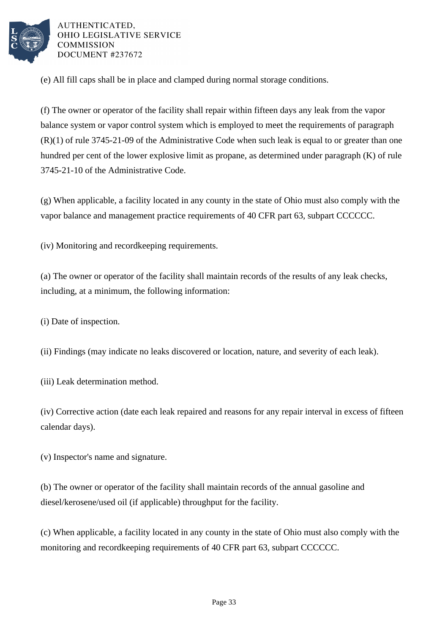

(e) All fill caps shall be in place and clamped during normal storage conditions.

(f) The owner or operator of the facility shall repair within fifteen days any leak from the vapor balance system or vapor control system which is employed to meet the requirements of paragraph (R)(1) of rule 3745-21-09 of the Administrative Code when such leak is equal to or greater than one hundred per cent of the lower explosive limit as propane, as determined under paragraph (K) of rule 3745-21-10 of the Administrative Code.

(g) When applicable, a facility located in any county in the state of Ohio must also comply with the vapor balance and management practice requirements of 40 CFR part 63, subpart CCCCCC.

(iv) Monitoring and recordkeeping requirements.

(a) The owner or operator of the facility shall maintain records of the results of any leak checks, including, at a minimum, the following information:

(i) Date of inspection.

(ii) Findings (may indicate no leaks discovered or location, nature, and severity of each leak).

(iii) Leak determination method.

(iv) Corrective action (date each leak repaired and reasons for any repair interval in excess of fifteen calendar days).

(v) Inspector's name and signature.

(b) The owner or operator of the facility shall maintain records of the annual gasoline and diesel/kerosene/used oil (if applicable) throughput for the facility.

(c) When applicable, a facility located in any county in the state of Ohio must also comply with the monitoring and recordkeeping requirements of 40 CFR part 63, subpart CCCCCC.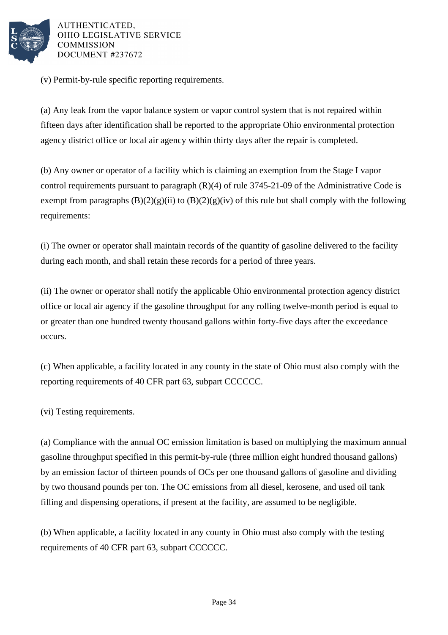

(v) Permit-by-rule specific reporting requirements.

(a) Any leak from the vapor balance system or vapor control system that is not repaired within fifteen days after identification shall be reported to the appropriate Ohio environmental protection agency district office or local air agency within thirty days after the repair is completed.

(b) Any owner or operator of a facility which is claiming an exemption from the Stage I vapor control requirements pursuant to paragraph (R)(4) of rule 3745-21-09 of the Administrative Code is exempt from paragraphs  $(B)(2)(g)(ii)$  to  $(B)(2)(g)(iv)$  of this rule but shall comply with the following requirements:

(i) The owner or operator shall maintain records of the quantity of gasoline delivered to the facility during each month, and shall retain these records for a period of three years.

(ii) The owner or operator shall notify the applicable Ohio environmental protection agency district office or local air agency if the gasoline throughput for any rolling twelve-month period is equal to or greater than one hundred twenty thousand gallons within forty-five days after the exceedance occurs.

(c) When applicable, a facility located in any county in the state of Ohio must also comply with the reporting requirements of 40 CFR part 63, subpart CCCCCC.

(vi) Testing requirements.

(a) Compliance with the annual OC emission limitation is based on multiplying the maximum annual gasoline throughput specified in this permit-by-rule (three million eight hundred thousand gallons) by an emission factor of thirteen pounds of OCs per one thousand gallons of gasoline and dividing by two thousand pounds per ton. The OC emissions from all diesel, kerosene, and used oil tank filling and dispensing operations, if present at the facility, are assumed to be negligible.

(b) When applicable, a facility located in any county in Ohio must also comply with the testing requirements of 40 CFR part 63, subpart CCCCCC.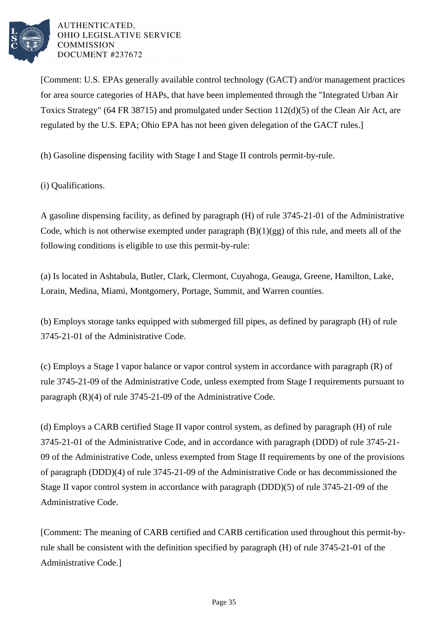

[Comment: U.S. EPAs generally available control technology (GACT) and/or management practices for area source categories of HAPs, that have been implemented through the "Integrated Urban Air Toxics Strategy" (64 FR 38715) and promulgated under Section 112(d)(5) of the Clean Air Act, are regulated by the U.S. EPA; Ohio EPA has not been given delegation of the GACT rules.]

(h) Gasoline dispensing facility with Stage I and Stage II controls permit-by-rule.

(i) Qualifications.

A gasoline dispensing facility, as defined by paragraph (H) of rule 3745-21-01 of the Administrative Code, which is not otherwise exempted under paragraph  $(B)(1)(gg)$  of this rule, and meets all of the following conditions is eligible to use this permit-by-rule:

(a) Is located in Ashtabula, Butler, Clark, Clermont, Cuyahoga, Geauga, Greene, Hamilton, Lake, Lorain, Medina, Miami, Montgomery, Portage, Summit, and Warren counties.

(b) Employs storage tanks equipped with submerged fill pipes, as defined by paragraph (H) of rule 3745-21-01 of the Administrative Code.

(c) Employs a Stage I vapor balance or vapor control system in accordance with paragraph (R) of rule 3745-21-09 of the Administrative Code, unless exempted from Stage I requirements pursuant to paragraph (R)(4) of rule 3745-21-09 of the Administrative Code.

(d) Employs a CARB certified Stage II vapor control system, as defined by paragraph (H) of rule 3745-21-01 of the Administrative Code, and in accordance with paragraph (DDD) of rule 3745-21- 09 of the Administrative Code, unless exempted from Stage II requirements by one of the provisions of paragraph (DDD)(4) of rule 3745-21-09 of the Administrative Code or has decommissioned the Stage II vapor control system in accordance with paragraph (DDD)(5) of rule 3745-21-09 of the Administrative Code.

[Comment: The meaning of CARB certified and CARB certification used throughout this permit-byrule shall be consistent with the definition specified by paragraph (H) of rule 3745-21-01 of the Administrative Code.]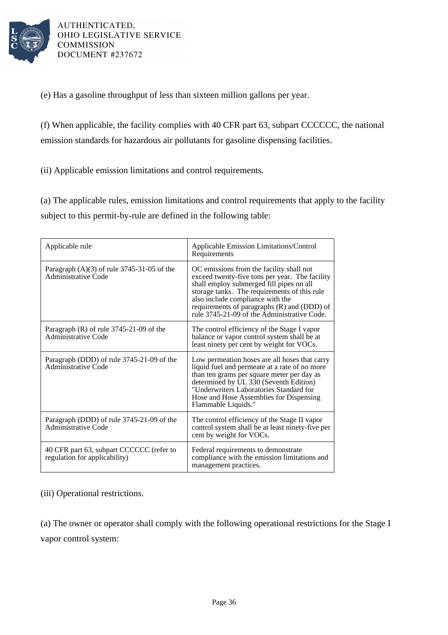

(e) Has a gasoline throughput of less than sixteen million gallons per year.

(f) When applicable, the facility complies with 40 CFR part 63, subpart CCCCCC, the national emission standards for hazardous air pollutants for gasoline dispensing facilities.

(ii) Applicable emission limitations and control requirements.

(a) The applicable rules, emission limitations and control requirements that apply to the facility subject to this permit-by-rule are defined in the following table:

| Applicable rule                                                           | Applicable Emission Limitations/Control<br>Requirements                                                                                                                                                                                                                                                                  |
|---------------------------------------------------------------------------|--------------------------------------------------------------------------------------------------------------------------------------------------------------------------------------------------------------------------------------------------------------------------------------------------------------------------|
| Paragraph $(A)(3)$ of rule 3745-31-05 of the<br>Administrative Code       | OC emissions from the facility shall not<br>exceed twenty-five tons per year. The facility<br>shall employ submerged fill pipes on all<br>storage tanks. The requirements of this rule<br>also include compliance with the<br>requirements of paragraphs (R) and (DDD) of<br>rule 3745-21-09 of the Administrative Code. |
| Paragraph $(R)$ of rule 3745-21-09 of the<br>Administrative Code          | The control efficiency of the Stage I vapor<br>balance or vapor control system shall be at<br>least ninety per cent by weight for VOCs.                                                                                                                                                                                  |
| Paragraph (DDD) of rule 3745-21-09 of the<br>Administrative Code          | Low permeation hoses are all hoses that carry<br>liquid fuel and permeate at a rate of no more<br>than ten grams per square meter per day as<br>determined by UL 330 (Seventh Edition)<br>"Underwriters Laboratories Standard for<br>Hose and Hose Assemblies for Dispensing<br>Flammable Liquids."                      |
| Paragraph (DDD) of rule 3745-21-09 of the<br>Administrative Code          | The control efficiency of the Stage II vapor<br>control system shall be at least ninety-five per<br>cent by weight for VOCs.                                                                                                                                                                                             |
| 40 CFR part 63, subpart CCCCCC (refer to<br>regulation for applicability) | Federal requirements to demonstrate<br>compliance with the emission limitations and<br>management practices.                                                                                                                                                                                                             |

(iii) Operational restrictions.

(a) The owner or operator shall comply with the following operational restrictions for the Stage I vapor control system: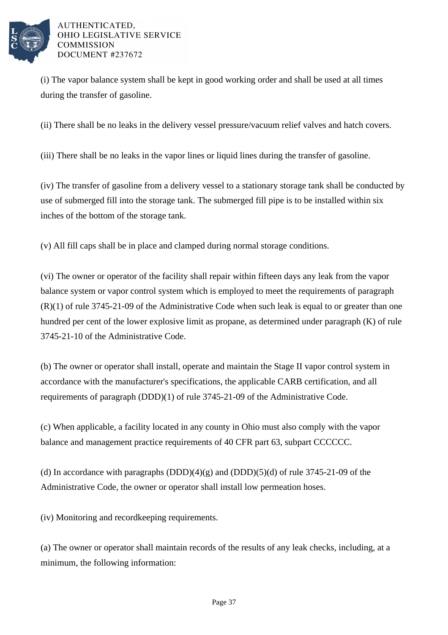

(i) The vapor balance system shall be kept in good working order and shall be used at all times during the transfer of gasoline.

(ii) There shall be no leaks in the delivery vessel pressure/vacuum relief valves and hatch covers.

(iii) There shall be no leaks in the vapor lines or liquid lines during the transfer of gasoline.

(iv) The transfer of gasoline from a delivery vessel to a stationary storage tank shall be conducted by use of submerged fill into the storage tank. The submerged fill pipe is to be installed within six inches of the bottom of the storage tank.

(v) All fill caps shall be in place and clamped during normal storage conditions.

(vi) The owner or operator of the facility shall repair within fifteen days any leak from the vapor balance system or vapor control system which is employed to meet the requirements of paragraph  $(R)(1)$  of rule 3745-21-09 of the Administrative Code when such leak is equal to or greater than one hundred per cent of the lower explosive limit as propane, as determined under paragraph (K) of rule 3745-21-10 of the Administrative Code.

(b) The owner or operator shall install, operate and maintain the Stage II vapor control system in accordance with the manufacturer's specifications, the applicable CARB certification, and all requirements of paragraph (DDD)(1) of rule 3745-21-09 of the Administrative Code.

(c) When applicable, a facility located in any county in Ohio must also comply with the vapor balance and management practice requirements of 40 CFR part 63, subpart CCCCCC.

(d) In accordance with paragraphs  $(DDD)(4)(g)$  and  $(DDD)(5)(d)$  of rule 3745-21-09 of the Administrative Code, the owner or operator shall install low permeation hoses.

(iv) Monitoring and recordkeeping requirements.

(a) The owner or operator shall maintain records of the results of any leak checks, including, at a minimum, the following information: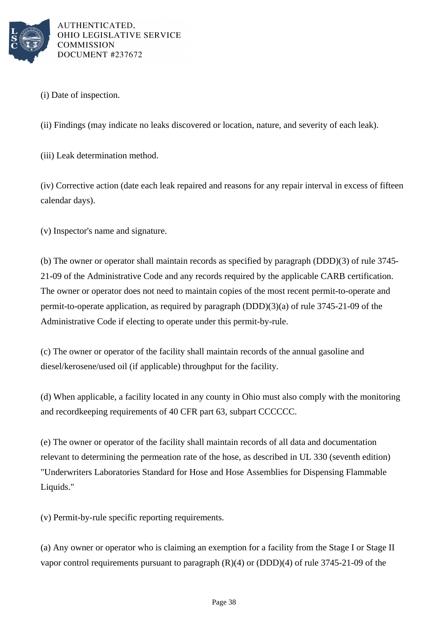

(i) Date of inspection.

(ii) Findings (may indicate no leaks discovered or location, nature, and severity of each leak).

(iii) Leak determination method.

(iv) Corrective action (date each leak repaired and reasons for any repair interval in excess of fifteen calendar days).

(v) Inspector's name and signature.

(b) The owner or operator shall maintain records as specified by paragraph (DDD)(3) of rule 3745- 21-09 of the Administrative Code and any records required by the applicable CARB certification. The owner or operator does not need to maintain copies of the most recent permit-to-operate and permit-to-operate application, as required by paragraph (DDD)(3)(a) of rule 3745-21-09 of the Administrative Code if electing to operate under this permit-by-rule.

(c) The owner or operator of the facility shall maintain records of the annual gasoline and diesel/kerosene/used oil (if applicable) throughput for the facility.

(d) When applicable, a facility located in any county in Ohio must also comply with the monitoring and recordkeeping requirements of 40 CFR part 63, subpart CCCCCC.

(e) The owner or operator of the facility shall maintain records of all data and documentation relevant to determining the permeation rate of the hose, as described in UL 330 (seventh edition) "Underwriters Laboratories Standard for Hose and Hose Assemblies for Dispensing Flammable Liquids."

(v) Permit-by-rule specific reporting requirements.

(a) Any owner or operator who is claiming an exemption for a facility from the Stage I or Stage II vapor control requirements pursuant to paragraph  $(R)(4)$  or  $(DDD)(4)$  of rule 3745-21-09 of the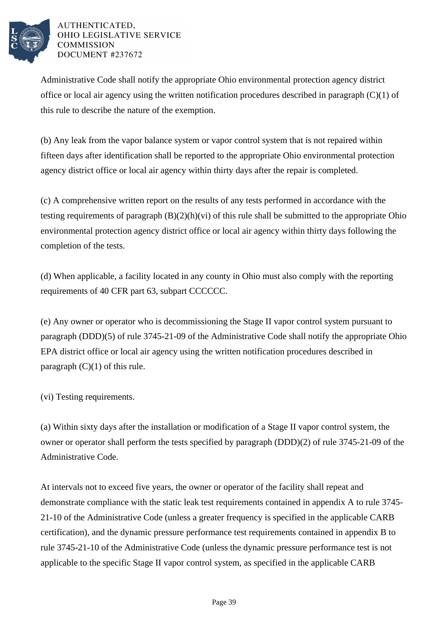

Administrative Code shall notify the appropriate Ohio environmental protection agency district office or local air agency using the written notification procedures described in paragraph (C)(1) of this rule to describe the nature of the exemption.

(b) Any leak from the vapor balance system or vapor control system that is not repaired within fifteen days after identification shall be reported to the appropriate Ohio environmental protection agency district office or local air agency within thirty days after the repair is completed.

(c) A comprehensive written report on the results of any tests performed in accordance with the testing requirements of paragraph (B)(2)(h)(vi) of this rule shall be submitted to the appropriate Ohio environmental protection agency district office or local air agency within thirty days following the completion of the tests.

(d) When applicable, a facility located in any county in Ohio must also comply with the reporting requirements of 40 CFR part 63, subpart CCCCCC.

(e) Any owner or operator who is decommissioning the Stage II vapor control system pursuant to paragraph (DDD)(5) of rule 3745-21-09 of the Administrative Code shall notify the appropriate Ohio EPA district office or local air agency using the written notification procedures described in paragraph  $(C)(1)$  of this rule.

(vi) Testing requirements.

(a) Within sixty days after the installation or modification of a Stage II vapor control system, the owner or operator shall perform the tests specified by paragraph (DDD)(2) of rule 3745-21-09 of the Administrative Code.

At intervals not to exceed five years, the owner or operator of the facility shall repeat and demonstrate compliance with the static leak test requirements contained in appendix A to rule 3745- 21-10 of the Administrative Code (unless a greater frequency is specified in the applicable CARB certification), and the dynamic pressure performance test requirements contained in appendix B to rule 3745-21-10 of the Administrative Code (unless the dynamic pressure performance test is not applicable to the specific Stage II vapor control system, as specified in the applicable CARB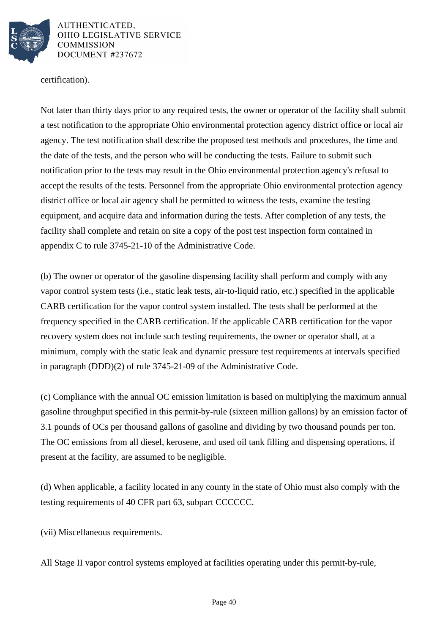

certification).

Not later than thirty days prior to any required tests, the owner or operator of the facility shall submit a test notification to the appropriate Ohio environmental protection agency district office or local air agency. The test notification shall describe the proposed test methods and procedures, the time and the date of the tests, and the person who will be conducting the tests. Failure to submit such notification prior to the tests may result in the Ohio environmental protection agency's refusal to accept the results of the tests. Personnel from the appropriate Ohio environmental protection agency district office or local air agency shall be permitted to witness the tests, examine the testing equipment, and acquire data and information during the tests. After completion of any tests, the facility shall complete and retain on site a copy of the post test inspection form contained in appendix C to rule 3745-21-10 of the Administrative Code.

(b) The owner or operator of the gasoline dispensing facility shall perform and comply with any vapor control system tests (i.e., static leak tests, air-to-liquid ratio, etc.) specified in the applicable CARB certification for the vapor control system installed. The tests shall be performed at the frequency specified in the CARB certification. If the applicable CARB certification for the vapor recovery system does not include such testing requirements, the owner or operator shall, at a minimum, comply with the static leak and dynamic pressure test requirements at intervals specified in paragraph (DDD)(2) of rule 3745-21-09 of the Administrative Code.

(c) Compliance with the annual OC emission limitation is based on multiplying the maximum annual gasoline throughput specified in this permit-by-rule (sixteen million gallons) by an emission factor of 3.1 pounds of OCs per thousand gallons of gasoline and dividing by two thousand pounds per ton. The OC emissions from all diesel, kerosene, and used oil tank filling and dispensing operations, if present at the facility, are assumed to be negligible.

(d) When applicable, a facility located in any county in the state of Ohio must also comply with the testing requirements of 40 CFR part 63, subpart CCCCCC.

(vii) Miscellaneous requirements.

All Stage II vapor control systems employed at facilities operating under this permit-by-rule,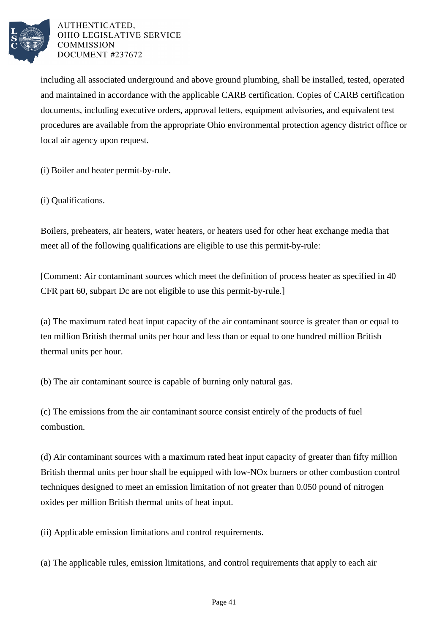

including all associated underground and above ground plumbing, shall be installed, tested, operated and maintained in accordance with the applicable CARB certification. Copies of CARB certification documents, including executive orders, approval letters, equipment advisories, and equivalent test procedures are available from the appropriate Ohio environmental protection agency district office or local air agency upon request.

(i) Boiler and heater permit-by-rule.

(i) Qualifications.

Boilers, preheaters, air heaters, water heaters, or heaters used for other heat exchange media that meet all of the following qualifications are eligible to use this permit-by-rule:

[Comment: Air contaminant sources which meet the definition of process heater as specified in 40 CFR part 60, subpart Dc are not eligible to use this permit-by-rule.]

(a) The maximum rated heat input capacity of the air contaminant source is greater than or equal to ten million British thermal units per hour and less than or equal to one hundred million British thermal units per hour.

(b) The air contaminant source is capable of burning only natural gas.

(c) The emissions from the air contaminant source consist entirely of the products of fuel combustion.

(d) Air contaminant sources with a maximum rated heat input capacity of greater than fifty million British thermal units per hour shall be equipped with low-NOx burners or other combustion control techniques designed to meet an emission limitation of not greater than 0.050 pound of nitrogen oxides per million British thermal units of heat input.

(ii) Applicable emission limitations and control requirements.

(a) The applicable rules, emission limitations, and control requirements that apply to each air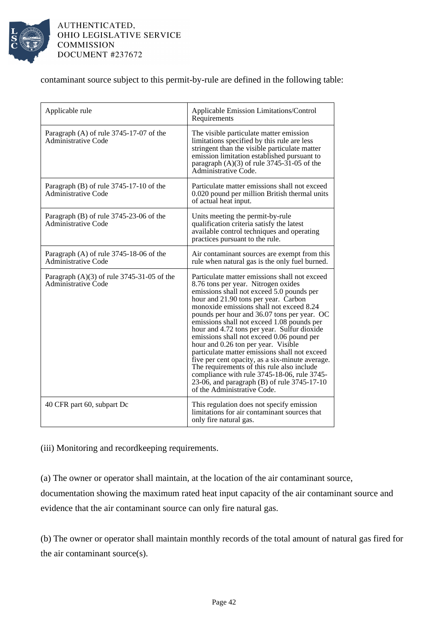

contaminant source subject to this permit-by-rule are defined in the following table:

| Applicable rule                                                       | Applicable Emission Limitations/Control<br>Requirements                                                                                                                                                                                                                                                                                                                                                                                                                                                                                                                                                                                                                                                                              |
|-----------------------------------------------------------------------|--------------------------------------------------------------------------------------------------------------------------------------------------------------------------------------------------------------------------------------------------------------------------------------------------------------------------------------------------------------------------------------------------------------------------------------------------------------------------------------------------------------------------------------------------------------------------------------------------------------------------------------------------------------------------------------------------------------------------------------|
| Paragraph (A) of rule 3745-17-07 of the<br><b>Administrative Code</b> | The visible particulate matter emission<br>limitations specified by this rule are less<br>stringent than the visible particulate matter<br>emission limitation established pursuant to<br>paragraph $(A)(3)$ of rule 3745-31-05 of the<br>Administrative Code.                                                                                                                                                                                                                                                                                                                                                                                                                                                                       |
| Paragraph (B) of rule 3745-17-10 of the<br>Administrative Code        | Particulate matter emissions shall not exceed<br>0.020 pound per million British thermal units<br>of actual heat input.                                                                                                                                                                                                                                                                                                                                                                                                                                                                                                                                                                                                              |
| Paragraph (B) of rule 3745-23-06 of the<br>Administrative Code        | Units meeting the permit-by-rule<br>qualification criteria satisfy the latest<br>available control techniques and operating<br>practices pursuant to the rule.                                                                                                                                                                                                                                                                                                                                                                                                                                                                                                                                                                       |
| Paragraph (A) of rule 3745-18-06 of the<br><b>Administrative Code</b> | Air contaminant sources are exempt from this<br>rule when natural gas is the only fuel burned.                                                                                                                                                                                                                                                                                                                                                                                                                                                                                                                                                                                                                                       |
| Paragraph $(A)(3)$ of rule 3745-31-05 of the<br>Administrative Code   | Particulate matter emissions shall not exceed<br>8.76 tons per year. Nitrogen oxides<br>emissions shall not exceed 5.0 pounds per<br>hour and 21.90 tons per year. Carbon<br>monoxide emissions shall not exceed 8.24<br>pounds per hour and 36.07 tons per year. OC<br>emissions shall not exceed 1.08 pounds per<br>hour and 4.72 tons per year. Sulfur dioxide<br>emissions shall not exceed 0.06 pound per<br>hour and 0.26 ton per year. Visible<br>particulate matter emissions shall not exceed<br>five per cent opacity, as a six-minute average.<br>The requirements of this rule also include<br>compliance with rule 3745-18-06, rule 3745-<br>23-06, and paragraph (B) of rule 3745-17-10<br>of the Administrative Code. |
| 40 CFR part 60, subpart Dc                                            | This regulation does not specify emission<br>limitations for air contaminant sources that<br>only fire natural gas.                                                                                                                                                                                                                                                                                                                                                                                                                                                                                                                                                                                                                  |

(iii) Monitoring and recordkeeping requirements.

(a) The owner or operator shall maintain, at the location of the air contaminant source,

documentation showing the maximum rated heat input capacity of the air contaminant source and evidence that the air contaminant source can only fire natural gas.

(b) The owner or operator shall maintain monthly records of the total amount of natural gas fired for the air contaminant source(s).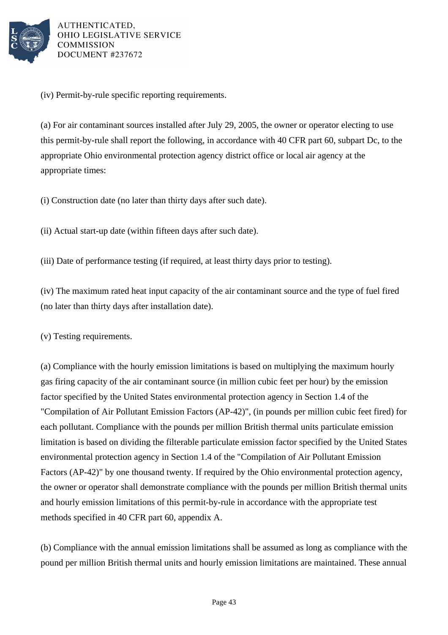

(iv) Permit-by-rule specific reporting requirements.

(a) For air contaminant sources installed after July 29, 2005, the owner or operator electing to use this permit-by-rule shall report the following, in accordance with 40 CFR part 60, subpart Dc, to the appropriate Ohio environmental protection agency district office or local air agency at the appropriate times:

(i) Construction date (no later than thirty days after such date).

(ii) Actual start-up date (within fifteen days after such date).

(iii) Date of performance testing (if required, at least thirty days prior to testing).

(iv) The maximum rated heat input capacity of the air contaminant source and the type of fuel fired (no later than thirty days after installation date).

(v) Testing requirements.

(a) Compliance with the hourly emission limitations is based on multiplying the maximum hourly gas firing capacity of the air contaminant source (in million cubic feet per hour) by the emission factor specified by the United States environmental protection agency in Section 1.4 of the "Compilation of Air Pollutant Emission Factors (AP-42)", (in pounds per million cubic feet fired) for each pollutant. Compliance with the pounds per million British thermal units particulate emission limitation is based on dividing the filterable particulate emission factor specified by the United States environmental protection agency in Section 1.4 of the "Compilation of Air Pollutant Emission Factors (AP-42)" by one thousand twenty. If required by the Ohio environmental protection agency, the owner or operator shall demonstrate compliance with the pounds per million British thermal units and hourly emission limitations of this permit-by-rule in accordance with the appropriate test methods specified in 40 CFR part 60, appendix A.

(b) Compliance with the annual emission limitations shall be assumed as long as compliance with the pound per million British thermal units and hourly emission limitations are maintained. These annual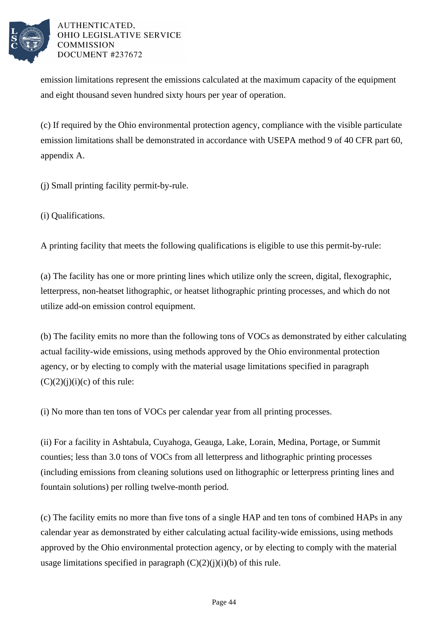

emission limitations represent the emissions calculated at the maximum capacity of the equipment and eight thousand seven hundred sixty hours per year of operation.

(c) If required by the Ohio environmental protection agency, compliance with the visible particulate emission limitations shall be demonstrated in accordance with USEPA method 9 of 40 CFR part 60, appendix A.

(j) Small printing facility permit-by-rule.

(i) Qualifications.

A printing facility that meets the following qualifications is eligible to use this permit-by-rule:

(a) The facility has one or more printing lines which utilize only the screen, digital, flexographic, letterpress, non-heatset lithographic, or heatset lithographic printing processes, and which do not utilize add-on emission control equipment.

(b) The facility emits no more than the following tons of VOCs as demonstrated by either calculating actual facility-wide emissions, using methods approved by the Ohio environmental protection agency, or by electing to comply with the material usage limitations specified in paragraph  $(C)(2)(j)(i)(c)$  of this rule:

(i) No more than ten tons of VOCs per calendar year from all printing processes.

(ii) For a facility in Ashtabula, Cuyahoga, Geauga, Lake, Lorain, Medina, Portage, or Summit counties; less than 3.0 tons of VOCs from all letterpress and lithographic printing processes (including emissions from cleaning solutions used on lithographic or letterpress printing lines and fountain solutions) per rolling twelve-month period.

(c) The facility emits no more than five tons of a single HAP and ten tons of combined HAPs in any calendar year as demonstrated by either calculating actual facility-wide emissions, using methods approved by the Ohio environmental protection agency, or by electing to comply with the material usage limitations specified in paragraph  $(C)(2)(i)(i)(b)$  of this rule.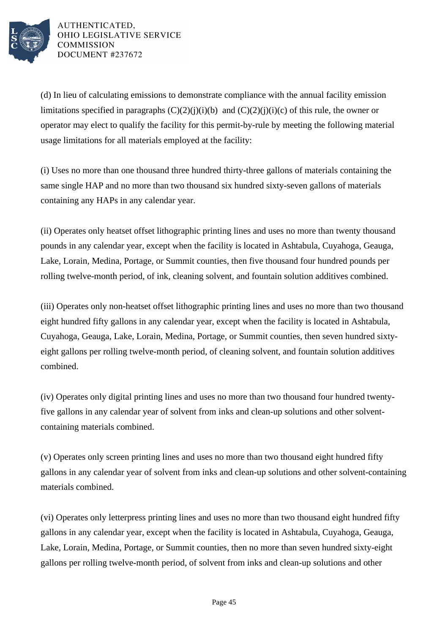

(d) In lieu of calculating emissions to demonstrate compliance with the annual facility emission limitations specified in paragraphs  $(C)(2)(j)(i)(b)$  and  $(C)(2)(j)(i)(c)$  of this rule, the owner or operator may elect to qualify the facility for this permit-by-rule by meeting the following material usage limitations for all materials employed at the facility:

(i) Uses no more than one thousand three hundred thirty-three gallons of materials containing the same single HAP and no more than two thousand six hundred sixty-seven gallons of materials containing any HAPs in any calendar year.

(ii) Operates only heatset offset lithographic printing lines and uses no more than twenty thousand pounds in any calendar year, except when the facility is located in Ashtabula, Cuyahoga, Geauga, Lake, Lorain, Medina, Portage, or Summit counties, then five thousand four hundred pounds per rolling twelve-month period, of ink, cleaning solvent, and fountain solution additives combined.

(iii) Operates only non-heatset offset lithographic printing lines and uses no more than two thousand eight hundred fifty gallons in any calendar year, except when the facility is located in Ashtabula, Cuyahoga, Geauga, Lake, Lorain, Medina, Portage, or Summit counties, then seven hundred sixtyeight gallons per rolling twelve-month period, of cleaning solvent, and fountain solution additives combined.

(iv) Operates only digital printing lines and uses no more than two thousand four hundred twentyfive gallons in any calendar year of solvent from inks and clean-up solutions and other solventcontaining materials combined.

(v) Operates only screen printing lines and uses no more than two thousand eight hundred fifty gallons in any calendar year of solvent from inks and clean-up solutions and other solvent-containing materials combined.

(vi) Operates only letterpress printing lines and uses no more than two thousand eight hundred fifty gallons in any calendar year, except when the facility is located in Ashtabula, Cuyahoga, Geauga, Lake, Lorain, Medina, Portage, or Summit counties, then no more than seven hundred sixty-eight gallons per rolling twelve-month period, of solvent from inks and clean-up solutions and other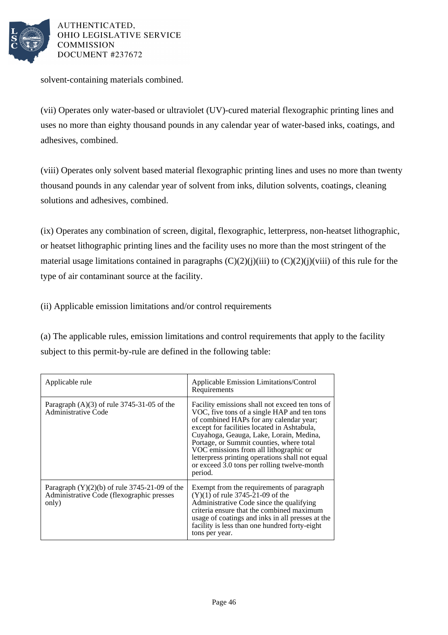

solvent-containing materials combined.

(vii) Operates only water-based or ultraviolet (UV)-cured material flexographic printing lines and uses no more than eighty thousand pounds in any calendar year of water-based inks, coatings, and adhesives, combined.

(viii) Operates only solvent based material flexographic printing lines and uses no more than twenty thousand pounds in any calendar year of solvent from inks, dilution solvents, coatings, cleaning solutions and adhesives, combined.

(ix) Operates any combination of screen, digital, flexographic, letterpress, non-heatset lithographic, or heatset lithographic printing lines and the facility uses no more than the most stringent of the material usage limitations contained in paragraphs  $(C)(2)(i)(iii)$  to  $(C)(2)(i)(viii)$  of this rule for the type of air contaminant source at the facility.

(ii) Applicable emission limitations and/or control requirements

(a) The applicable rules, emission limitations and control requirements that apply to the facility subject to this permit-by-rule are defined in the following table:

| Applicable rule                                                                                       | Applicable Emission Limitations/Control<br>Requirements                                                                                                                                                                                                                                                                                                                                                                                |
|-------------------------------------------------------------------------------------------------------|----------------------------------------------------------------------------------------------------------------------------------------------------------------------------------------------------------------------------------------------------------------------------------------------------------------------------------------------------------------------------------------------------------------------------------------|
| Paragraph $(A)(3)$ of rule 3745-31-05 of the<br>Administrative Code                                   | Facility emissions shall not exceed ten tons of<br>VOC, five tons of a single HAP and ten tons<br>of combined HAPs for any calendar year;<br>except for facilities located in Ashtabula,<br>Cuyahoga, Geauga, Lake, Lorain, Medina,<br>Portage, or Summit counties, where total<br>VOC emissions from all lithographic or<br>letterpress printing operations shall not equal<br>or exceed 3.0 tons per rolling twelve-month<br>period. |
| Paragraph $(Y)(2)(b)$ of rule 3745-21-09 of the<br>Administrative Code (flexographic presses<br>only) | Exempt from the requirements of paragraph<br>$(Y)(1)$ of rule 3745-21-09 of the<br>Administrative Code since the qualifying<br>criteria ensure that the combined maximum<br>usage of coatings and inks in all presses at the<br>facility is less than one hundred forty-eight<br>tons per year.                                                                                                                                        |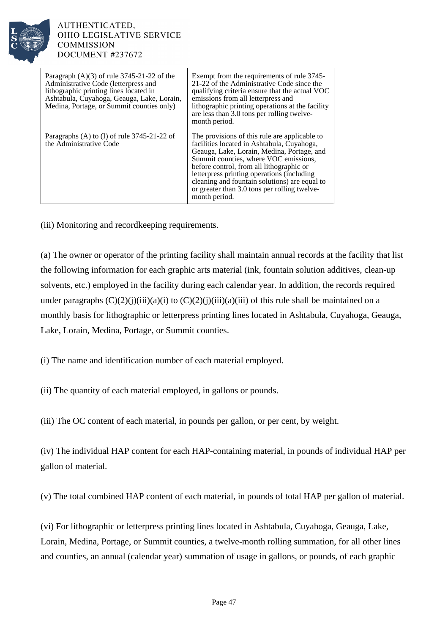

| Paragraph $(A)(3)$ of rule 3745-21-22 of the<br>Administrative Code (letterpress and<br>lithographic printing lines located in<br>Ashtabula, Cuyahoga, Geauga, Lake, Lorain,<br>Medina, Portage, or Summit counties only) | Exempt from the requirements of rule 3745-<br>21-22 of the Administrative Code since the<br>qualifying criteria ensure that the actual VOC<br>emissions from all letterpress and<br>lithographic printing operations at the facility<br>are less than 3.0 tons per rolling twelve-<br>month period.                                                                                            |
|---------------------------------------------------------------------------------------------------------------------------------------------------------------------------------------------------------------------------|------------------------------------------------------------------------------------------------------------------------------------------------------------------------------------------------------------------------------------------------------------------------------------------------------------------------------------------------------------------------------------------------|
| Paragraphs (A) to (I) of rule $3745-21-22$ of<br>the Administrative Code                                                                                                                                                  | The provisions of this rule are applicable to<br>facilities located in Ashtabula, Cuyahoga,<br>Geauga, Lake, Lorain, Medina, Portage, and<br>Summit counties, where VOC emissions,<br>before control, from all lithographic or<br>letterpress printing operations (including<br>cleaning and fountain solutions) are equal to<br>or greater than 3.0 tons per rolling twelve-<br>month period. |

(iii) Monitoring and recordkeeping requirements.

(a) The owner or operator of the printing facility shall maintain annual records at the facility that list the following information for each graphic arts material (ink, fountain solution additives, clean-up solvents, etc.) employed in the facility during each calendar year. In addition, the records required under paragraphs  $(C)(2)(j)(iii)(a)(i)$  to  $(C)(2)(j)(iii)(a)(iii)$  of this rule shall be maintained on a monthly basis for lithographic or letterpress printing lines located in Ashtabula, Cuyahoga, Geauga, Lake, Lorain, Medina, Portage, or Summit counties.

(i) The name and identification number of each material employed.

(ii) The quantity of each material employed, in gallons or pounds.

(iii) The OC content of each material, in pounds per gallon, or per cent, by weight.

(iv) The individual HAP content for each HAP-containing material, in pounds of individual HAP per gallon of material.

(v) The total combined HAP content of each material, in pounds of total HAP per gallon of material.

(vi) For lithographic or letterpress printing lines located in Ashtabula, Cuyahoga, Geauga, Lake, Lorain, Medina, Portage, or Summit counties, a twelve-month rolling summation, for all other lines and counties, an annual (calendar year) summation of usage in gallons, or pounds, of each graphic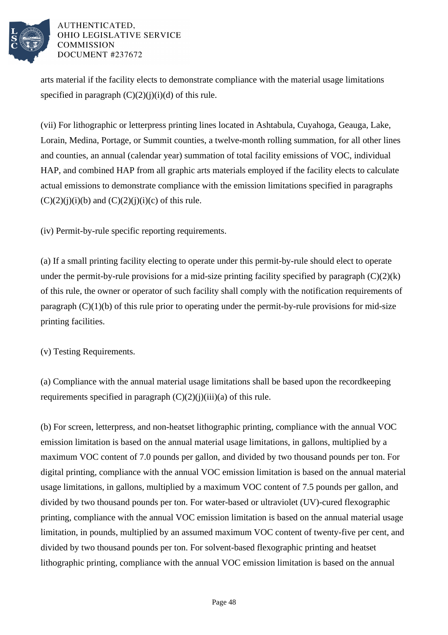

arts material if the facility elects to demonstrate compliance with the material usage limitations specified in paragraph  $(C)(2)(i)(i)(d)$  of this rule.

(vii) For lithographic or letterpress printing lines located in Ashtabula, Cuyahoga, Geauga, Lake, Lorain, Medina, Portage, or Summit counties, a twelve-month rolling summation, for all other lines and counties, an annual (calendar year) summation of total facility emissions of VOC, individual HAP, and combined HAP from all graphic arts materials employed if the facility elects to calculate actual emissions to demonstrate compliance with the emission limitations specified in paragraphs  $(C)(2)(i)(i)(b)$  and  $(C)(2)(i)(i)(c)$  of this rule.

(iv) Permit-by-rule specific reporting requirements.

(a) If a small printing facility electing to operate under this permit-by-rule should elect to operate under the permit-by-rule provisions for a mid-size printing facility specified by paragraph  $(C)(2)(k)$ of this rule, the owner or operator of such facility shall comply with the notification requirements of paragraph  $(C)(1)(b)$  of this rule prior to operating under the permit-by-rule provisions for mid-size printing facilities.

(v) Testing Requirements.

(a) Compliance with the annual material usage limitations shall be based upon the recordkeeping requirements specified in paragraph  $(C)(2)(j)(iii)(a)$  of this rule.

(b) For screen, letterpress, and non-heatset lithographic printing, compliance with the annual VOC emission limitation is based on the annual material usage limitations, in gallons, multiplied by a maximum VOC content of 7.0 pounds per gallon, and divided by two thousand pounds per ton. For digital printing, compliance with the annual VOC emission limitation is based on the annual material usage limitations, in gallons, multiplied by a maximum VOC content of 7.5 pounds per gallon, and divided by two thousand pounds per ton. For water-based or ultraviolet (UV)-cured flexographic printing, compliance with the annual VOC emission limitation is based on the annual material usage limitation, in pounds, multiplied by an assumed maximum VOC content of twenty-five per cent, and divided by two thousand pounds per ton. For solvent-based flexographic printing and heatset lithographic printing, compliance with the annual VOC emission limitation is based on the annual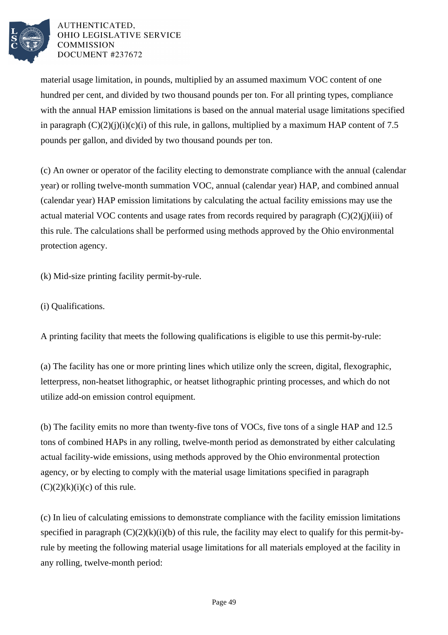

material usage limitation, in pounds, multiplied by an assumed maximum VOC content of one hundred per cent, and divided by two thousand pounds per ton. For all printing types, compliance with the annual HAP emission limitations is based on the annual material usage limitations specified in paragraph  $(C)(2)(i)(i)(c)(i)$  of this rule, in gallons, multiplied by a maximum HAP content of 7.5 pounds per gallon, and divided by two thousand pounds per ton.

(c) An owner or operator of the facility electing to demonstrate compliance with the annual (calendar year) or rolling twelve-month summation VOC, annual (calendar year) HAP, and combined annual (calendar year) HAP emission limitations by calculating the actual facility emissions may use the actual material VOC contents and usage rates from records required by paragraph  $(C)(2)(i)(iii)$  of this rule. The calculations shall be performed using methods approved by the Ohio environmental protection agency.

(k) Mid-size printing facility permit-by-rule.

(i) Qualifications.

A printing facility that meets the following qualifications is eligible to use this permit-by-rule:

(a) The facility has one or more printing lines which utilize only the screen, digital, flexographic, letterpress, non-heatset lithographic, or heatset lithographic printing processes, and which do not utilize add-on emission control equipment.

(b) The facility emits no more than twenty-five tons of VOCs, five tons of a single HAP and 12.5 tons of combined HAPs in any rolling, twelve-month period as demonstrated by either calculating actual facility-wide emissions, using methods approved by the Ohio environmental protection agency, or by electing to comply with the material usage limitations specified in paragraph  $(C)(2)(k)(i)(c)$  of this rule.

(c) In lieu of calculating emissions to demonstrate compliance with the facility emission limitations specified in paragraph  $(C)(2)(k)(i)(b)$  of this rule, the facility may elect to qualify for this permit-byrule by meeting the following material usage limitations for all materials employed at the facility in any rolling, twelve-month period: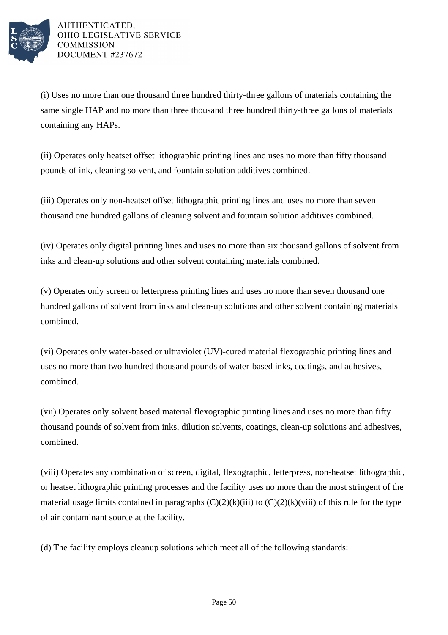

(i) Uses no more than one thousand three hundred thirty-three gallons of materials containing the same single HAP and no more than three thousand three hundred thirty-three gallons of materials containing any HAPs.

(ii) Operates only heatset offset lithographic printing lines and uses no more than fifty thousand pounds of ink, cleaning solvent, and fountain solution additives combined.

(iii) Operates only non-heatset offset lithographic printing lines and uses no more than seven thousand one hundred gallons of cleaning solvent and fountain solution additives combined.

(iv) Operates only digital printing lines and uses no more than six thousand gallons of solvent from inks and clean-up solutions and other solvent containing materials combined.

(v) Operates only screen or letterpress printing lines and uses no more than seven thousand one hundred gallons of solvent from inks and clean-up solutions and other solvent containing materials combined.

(vi) Operates only water-based or ultraviolet (UV)-cured material flexographic printing lines and uses no more than two hundred thousand pounds of water-based inks, coatings, and adhesives, combined.

(vii) Operates only solvent based material flexographic printing lines and uses no more than fifty thousand pounds of solvent from inks, dilution solvents, coatings, clean-up solutions and adhesives, combined.

(viii) Operates any combination of screen, digital, flexographic, letterpress, non-heatset lithographic, or heatset lithographic printing processes and the facility uses no more than the most stringent of the material usage limits contained in paragraphs  $(C)(2)(k)(iii)$  to  $(C)(2)(k)(viii)$  of this rule for the type of air contaminant source at the facility.

(d) The facility employs cleanup solutions which meet all of the following standards: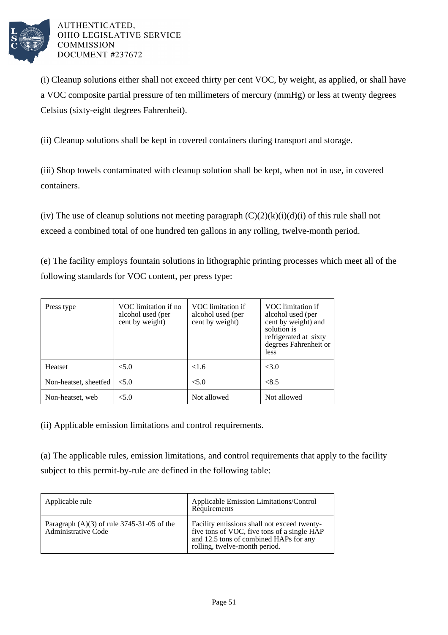

(i) Cleanup solutions either shall not exceed thirty per cent VOC, by weight, as applied, or shall have a VOC composite partial pressure of ten millimeters of mercury (mmHg) or less at twenty degrees Celsius (sixty-eight degrees Fahrenheit).

(ii) Cleanup solutions shall be kept in covered containers during transport and storage.

(iii) Shop towels contaminated with cleanup solution shall be kept, when not in use, in covered containers.

(iv) The use of cleanup solutions not meeting paragraph  $(C)(2)(k)(i)(d)(i)$  of this rule shall not exceed a combined total of one hundred ten gallons in any rolling, twelve-month period.

(e) The facility employs fountain solutions in lithographic printing processes which meet all of the following standards for VOC content, per press type:

| Press type            | VOC limitation if no<br>alcohol used (per<br>cent by weight) | VOC limitation if<br>alcohol used (per<br>cent by weight) | VOC limitation if<br>alcohol used (per<br>cent by weight) and<br>solution is<br>refrigerated at sixty<br>degrees Fahrenheit or<br><i>less</i> |
|-----------------------|--------------------------------------------------------------|-----------------------------------------------------------|-----------------------------------------------------------------------------------------------------------------------------------------------|
| Heatset               | < 5.0                                                        | <1.6                                                      | < 3.0                                                                                                                                         |
| Non-heatset, sheetfed | < 5.0                                                        | < 5.0                                                     | < 8.5                                                                                                                                         |
| Non-heatset, web      | $<$ 5.0                                                      | Not allowed                                               | Not allowed                                                                                                                                   |

(ii) Applicable emission limitations and control requirements.

(a) The applicable rules, emission limitations, and control requirements that apply to the facility subject to this permit-by-rule are defined in the following table:

| Applicable rule                                                            | Applicable Emission Limitations/Control<br>Requirements                                                                                                               |
|----------------------------------------------------------------------------|-----------------------------------------------------------------------------------------------------------------------------------------------------------------------|
| Paragraph $(A)(3)$ of rule 3745-31-05 of the<br><b>Administrative Code</b> | Facility emissions shall not exceed twenty-<br>five tons of VOC, five tons of a single HAP<br>and 12.5 tons of combined HAPs for any<br>rolling, twelve-month period. |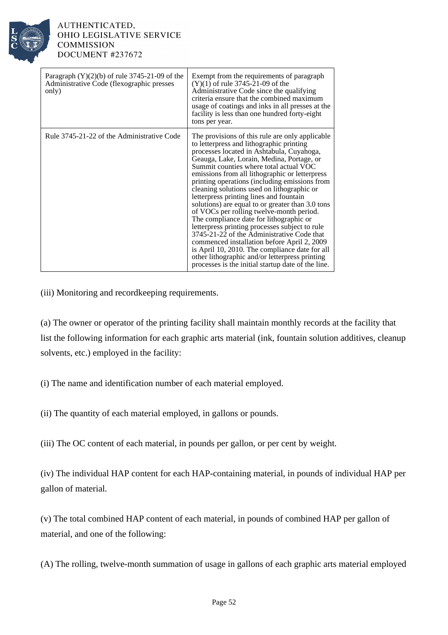

| Paragraph $(Y)(2)(b)$ of rule 3745-21-09 of the<br>Administrative Code (flexographic presses<br>only) | Exempt from the requirements of paragraph<br>$(Y)(1)$ of rule 3745-21-09 of the<br>Administrative Code since the qualifying<br>criteria ensure that the combined maximum<br>usage of coatings and inks in all presses at the<br>facility is less than one hundred forty-eight<br>tons per year.                                                                                                                                                                                                                                                                                                                                                                                                                                                                                                                                                                                 |
|-------------------------------------------------------------------------------------------------------|---------------------------------------------------------------------------------------------------------------------------------------------------------------------------------------------------------------------------------------------------------------------------------------------------------------------------------------------------------------------------------------------------------------------------------------------------------------------------------------------------------------------------------------------------------------------------------------------------------------------------------------------------------------------------------------------------------------------------------------------------------------------------------------------------------------------------------------------------------------------------------|
| Rule 3745-21-22 of the Administrative Code                                                            | The provisions of this rule are only applicable<br>to letterpress and lithographic printing<br>processes located in Ashtabula, Cuyahoga,<br>Geauga, Lake, Lorain, Medina, Portage, or<br>Summit counties where total actual VOC<br>emissions from all lithographic or letterpress<br>printing operations (including emissions from<br>cleaning solutions used on lithographic or<br>letterpress printing lines and fountain<br>solutions) are equal to or greater than 3.0 tons<br>of VOCs per rolling twelve-month period.<br>The compliance date for lithographic or<br>letterpress printing processes subject to rule<br>3745-21-22 of the Administrative Code that<br>commenced installation before April 2, 2009<br>is April 10, 2010. The compliance date for all<br>other lithographic and/or letterpress printing<br>processes is the initial startup date of the line. |

(iii) Monitoring and recordkeeping requirements.

(a) The owner or operator of the printing facility shall maintain monthly records at the facility that list the following information for each graphic arts material (ink, fountain solution additives, cleanup solvents, etc.) employed in the facility:

(i) The name and identification number of each material employed.

(ii) The quantity of each material employed, in gallons or pounds.

(iii) The OC content of each material, in pounds per gallon, or per cent by weight.

(iv) The individual HAP content for each HAP-containing material, in pounds of individual HAP per gallon of material.

(v) The total combined HAP content of each material, in pounds of combined HAP per gallon of material, and one of the following:

(A) The rolling, twelve-month summation of usage in gallons of each graphic arts material employed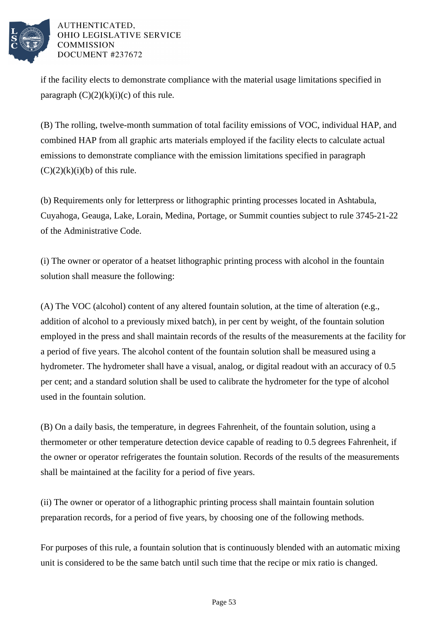

if the facility elects to demonstrate compliance with the material usage limitations specified in paragraph  $(C)(2)(k)(i)(c)$  of this rule.

(B) The rolling, twelve-month summation of total facility emissions of VOC, individual HAP, and combined HAP from all graphic arts materials employed if the facility elects to calculate actual emissions to demonstrate compliance with the emission limitations specified in paragraph  $(C)(2)(k)(i)(b)$  of this rule.

(b) Requirements only for letterpress or lithographic printing processes located in Ashtabula, Cuyahoga, Geauga, Lake, Lorain, Medina, Portage, or Summit counties subject to rule 3745-21-22 of the Administrative Code.

(i) The owner or operator of a heatset lithographic printing process with alcohol in the fountain solution shall measure the following:

(A) The VOC (alcohol) content of any altered fountain solution, at the time of alteration (e.g., addition of alcohol to a previously mixed batch), in per cent by weight, of the fountain solution employed in the press and shall maintain records of the results of the measurements at the facility for a period of five years. The alcohol content of the fountain solution shall be measured using a hydrometer. The hydrometer shall have a visual, analog, or digital readout with an accuracy of 0.5 per cent; and a standard solution shall be used to calibrate the hydrometer for the type of alcohol used in the fountain solution.

(B) On a daily basis, the temperature, in degrees Fahrenheit, of the fountain solution, using a thermometer or other temperature detection device capable of reading to 0.5 degrees Fahrenheit, if the owner or operator refrigerates the fountain solution. Records of the results of the measurements shall be maintained at the facility for a period of five years.

(ii) The owner or operator of a lithographic printing process shall maintain fountain solution preparation records, for a period of five years, by choosing one of the following methods.

For purposes of this rule, a fountain solution that is continuously blended with an automatic mixing unit is considered to be the same batch until such time that the recipe or mix ratio is changed.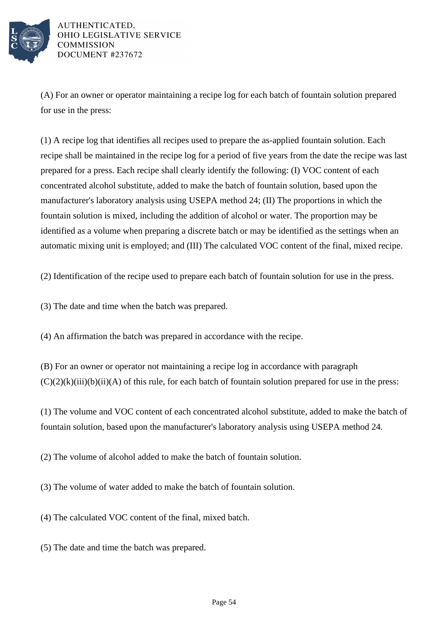

(A) For an owner or operator maintaining a recipe log for each batch of fountain solution prepared for use in the press:

(1) A recipe log that identifies all recipes used to prepare the as-applied fountain solution. Each recipe shall be maintained in the recipe log for a period of five years from the date the recipe was last prepared for a press. Each recipe shall clearly identify the following: (I) VOC content of each concentrated alcohol substitute, added to make the batch of fountain solution, based upon the manufacturer's laboratory analysis using USEPA method 24; (II) The proportions in which the fountain solution is mixed, including the addition of alcohol or water. The proportion may be identified as a volume when preparing a discrete batch or may be identified as the settings when an automatic mixing unit is employed; and (III) The calculated VOC content of the final, mixed recipe.

(2) Identification of the recipe used to prepare each batch of fountain solution for use in the press.

(3) The date and time when the batch was prepared.

(4) An affirmation the batch was prepared in accordance with the recipe.

(B) For an owner or operator not maintaining a recipe log in accordance with paragraph  $(C)(2)(k)(iii)(b)(ii)(A)$  of this rule, for each batch of fountain solution prepared for use in the press:

(1) The volume and VOC content of each concentrated alcohol substitute, added to make the batch of fountain solution, based upon the manufacturer's laboratory analysis using USEPA method 24.

(2) The volume of alcohol added to make the batch of fountain solution.

(3) The volume of water added to make the batch of fountain solution.

(4) The calculated VOC content of the final, mixed batch.

(5) The date and time the batch was prepared.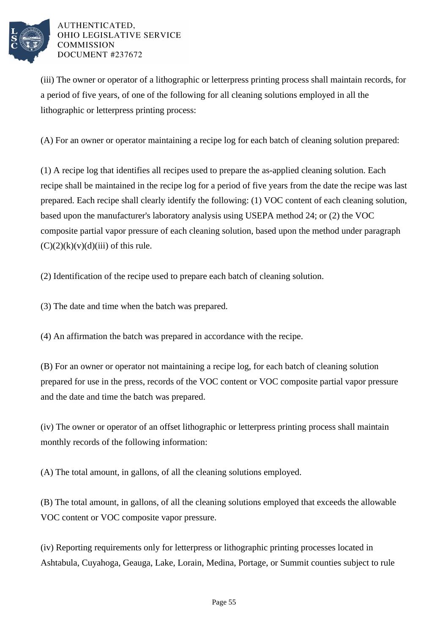

(iii) The owner or operator of a lithographic or letterpress printing process shall maintain records, for a period of five years, of one of the following for all cleaning solutions employed in all the lithographic or letterpress printing process:

(A) For an owner or operator maintaining a recipe log for each batch of cleaning solution prepared:

(1) A recipe log that identifies all recipes used to prepare the as-applied cleaning solution. Each recipe shall be maintained in the recipe log for a period of five years from the date the recipe was last prepared. Each recipe shall clearly identify the following: (1) VOC content of each cleaning solution, based upon the manufacturer's laboratory analysis using USEPA method 24; or (2) the VOC composite partial vapor pressure of each cleaning solution, based upon the method under paragraph  $(C)(2)(k)(v)(d)(iii)$  of this rule.

(2) Identification of the recipe used to prepare each batch of cleaning solution.

(3) The date and time when the batch was prepared.

(4) An affirmation the batch was prepared in accordance with the recipe.

(B) For an owner or operator not maintaining a recipe log, for each batch of cleaning solution prepared for use in the press, records of the VOC content or VOC composite partial vapor pressure and the date and time the batch was prepared.

(iv) The owner or operator of an offset lithographic or letterpress printing process shall maintain monthly records of the following information:

(A) The total amount, in gallons, of all the cleaning solutions employed.

(B) The total amount, in gallons, of all the cleaning solutions employed that exceeds the allowable VOC content or VOC composite vapor pressure.

(iv) Reporting requirements only for letterpress or lithographic printing processes located in Ashtabula, Cuyahoga, Geauga, Lake, Lorain, Medina, Portage, or Summit counties subject to rule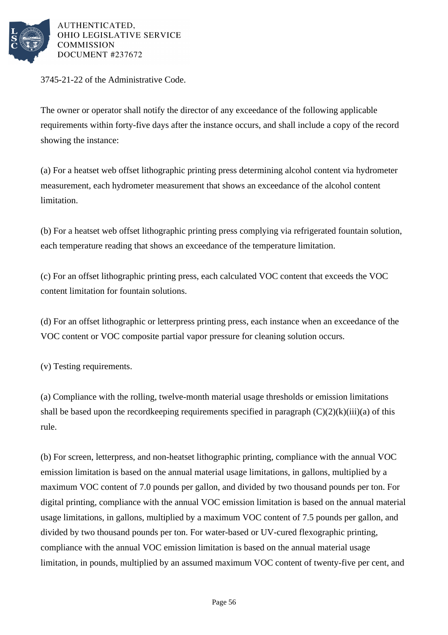

3745-21-22 of the Administrative Code.

The owner or operator shall notify the director of any exceedance of the following applicable requirements within forty-five days after the instance occurs, and shall include a copy of the record showing the instance:

(a) For a heatset web offset lithographic printing press determining alcohol content via hydrometer measurement, each hydrometer measurement that shows an exceedance of the alcohol content limitation.

(b) For a heatset web offset lithographic printing press complying via refrigerated fountain solution, each temperature reading that shows an exceedance of the temperature limitation.

(c) For an offset lithographic printing press, each calculated VOC content that exceeds the VOC content limitation for fountain solutions.

(d) For an offset lithographic or letterpress printing press, each instance when an exceedance of the VOC content or VOC composite partial vapor pressure for cleaning solution occurs.

(v) Testing requirements.

(a) Compliance with the rolling, twelve-month material usage thresholds or emission limitations shall be based upon the recordkeeping requirements specified in paragraph  $(C)(2)(k)(iii)(a)$  of this rule.

(b) For screen, letterpress, and non-heatset lithographic printing, compliance with the annual VOC emission limitation is based on the annual material usage limitations, in gallons, multiplied by a maximum VOC content of 7.0 pounds per gallon, and divided by two thousand pounds per ton. For digital printing, compliance with the annual VOC emission limitation is based on the annual material usage limitations, in gallons, multiplied by a maximum VOC content of 7.5 pounds per gallon, and divided by two thousand pounds per ton. For water-based or UV-cured flexographic printing, compliance with the annual VOC emission limitation is based on the annual material usage limitation, in pounds, multiplied by an assumed maximum VOC content of twenty-five per cent, and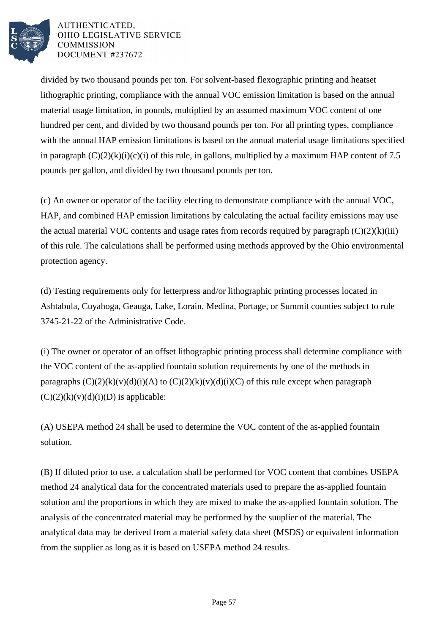

divided by two thousand pounds per ton. For solvent-based flexographic printing and heatset lithographic printing, compliance with the annual VOC emission limitation is based on the annual material usage limitation, in pounds, multiplied by an assumed maximum VOC content of one hundred per cent, and divided by two thousand pounds per ton. For all printing types, compliance with the annual HAP emission limitations is based on the annual material usage limitations specified in paragraph  $(C)(2)(k)(i)(c)(i)$  of this rule, in gallons, multiplied by a maximum HAP content of 7.5 pounds per gallon, and divided by two thousand pounds per ton.

(c) An owner or operator of the facility electing to demonstrate compliance with the annual VOC, HAP, and combined HAP emission limitations by calculating the actual facility emissions may use the actual material VOC contents and usage rates from records required by paragraph  $(C)(2)(k)(iii)$ of this rule. The calculations shall be performed using methods approved by the Ohio environmental protection agency.

(d) Testing requirements only for letterpress and/or lithographic printing processes located in Ashtabula, Cuyahoga, Geauga, Lake, Lorain, Medina, Portage, or Summit counties subject to rule 3745-21-22 of the Administrative Code.

(i) The owner or operator of an offset lithographic printing process shall determine compliance with the VOC content of the as-applied fountain solution requirements by one of the methods in paragraphs  $(C)(2)(k)(v)(d)(i)(A)$  to  $(C)(2)(k)(v)(d)(i)(C)$  of this rule except when paragraph  $(C)(2)(k)(v)(d)(i)(D)$  is applicable:

(A) USEPA method 24 shall be used to determine the VOC content of the as-applied fountain solution.

(B) If diluted prior to use, a calculation shall be performed for VOC content that combines USEPA method 24 analytical data for the concentrated materials used to prepare the as-applied fountain solution and the proportions in which they are mixed to make the as-applied fountain solution. The analysis of the concentrated material may be performed by the suuplier of the material. The analytical data may be derived from a material safety data sheet (MSDS) or equivalent information from the supplier as long as it is based on USEPA method 24 results.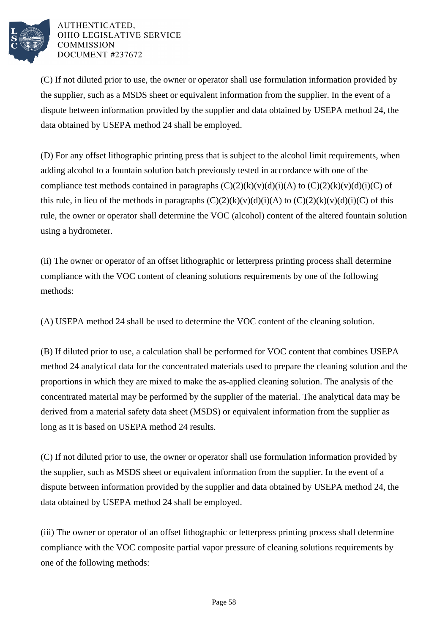

(C) If not diluted prior to use, the owner or operator shall use formulation information provided by the supplier, such as a MSDS sheet or equivalent information from the supplier. In the event of a dispute between information provided by the supplier and data obtained by USEPA method 24, the data obtained by USEPA method 24 shall be employed.

(D) For any offset lithographic printing press that is subject to the alcohol limit requirements, when adding alcohol to a fountain solution batch previously tested in accordance with one of the compliance test methods contained in paragraphs  $(C)(2)(k)(v)(d)(i)(A)$  to  $(C)(2)(k)(v)(d)(i)(C)$  of this rule, in lieu of the methods in paragraphs  $(C)(2)(k)(v)(d)(i)(A)$  to  $(C)(2)(k)(v)(d)(i)(C)$  of this rule, the owner or operator shall determine the VOC (alcohol) content of the altered fountain solution using a hydrometer.

(ii) The owner or operator of an offset lithographic or letterpress printing process shall determine compliance with the VOC content of cleaning solutions requirements by one of the following methods:

(A) USEPA method 24 shall be used to determine the VOC content of the cleaning solution.

(B) If diluted prior to use, a calculation shall be performed for VOC content that combines USEPA method 24 analytical data for the concentrated materials used to prepare the cleaning solution and the proportions in which they are mixed to make the as-applied cleaning solution. The analysis of the concentrated material may be performed by the supplier of the material. The analytical data may be derived from a material safety data sheet (MSDS) or equivalent information from the supplier as long as it is based on USEPA method 24 results.

(C) If not diluted prior to use, the owner or operator shall use formulation information provided by the supplier, such as MSDS sheet or equivalent information from the supplier. In the event of a dispute between information provided by the supplier and data obtained by USEPA method 24, the data obtained by USEPA method 24 shall be employed.

(iii) The owner or operator of an offset lithographic or letterpress printing process shall determine compliance with the VOC composite partial vapor pressure of cleaning solutions requirements by one of the following methods: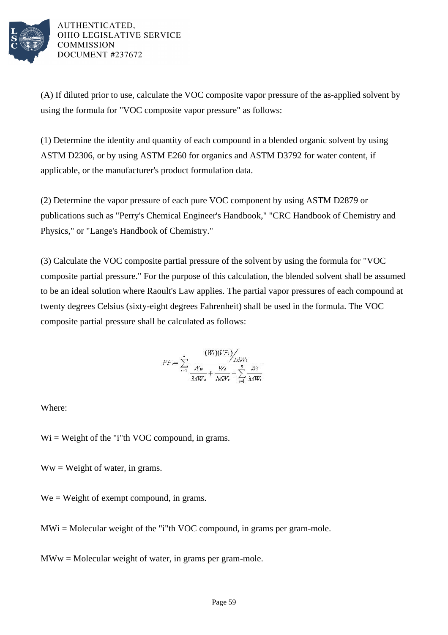

(A) If diluted prior to use, calculate the VOC composite vapor pressure of the as-applied solvent by using the formula for "VOC composite vapor pressure" as follows:

(1) Determine the identity and quantity of each compound in a blended organic solvent by using ASTM D2306, or by using ASTM E260 for organics and ASTM D3792 for water content, if applicable, or the manufacturer's product formulation data.

(2) Determine the vapor pressure of each pure VOC component by using ASTM D2879 or publications such as "Perry's Chemical Engineer's Handbook," "CRC Handbook of Chemistry and Physics," or "Lange's Handbook of Chemistry."

(3) Calculate the VOC composite partial pressure of the solvent by using the formula for "VOC composite partial pressure." For the purpose of this calculation, the blended solvent shall be assumed to be an ideal solution where Raoult's Law applies. The partial vapor pressures of each compound at twenty degrees Celsius (sixty-eight degrees Fahrenheit) shall be used in the formula. The VOC composite partial pressure shall be calculated as follows:

$$
PP_{\epsilon} = \sum_{i=1}^{n} \frac{(W_i)(VP_i)}{W_w} + \frac{W_e}{MW_e} + \sum_{i=1}^{n} \frac{W_i}{MW_i}
$$

Where:

 $Wi = Weight of the "i"th VOC compound, in grams.$ 

 $Ww = Weight of water, in grams.$ 

We = Weight of exempt compound, in grams.

 $MWi = Molecular weight of the "i"th VOC compound, in grams per gram-mole.$ 

 $MWw = Molecular weight of water, in grams per gram-mode.$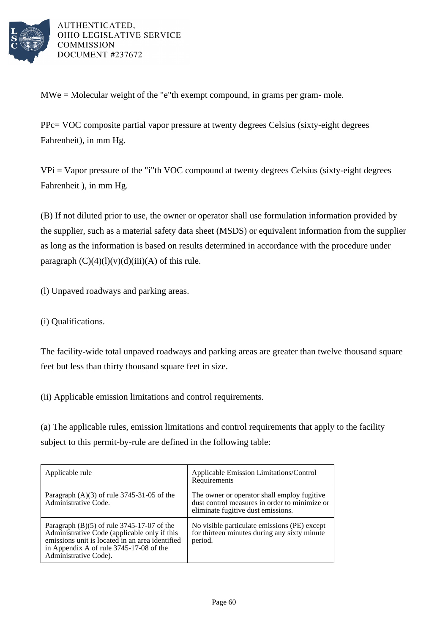

MWe = Molecular weight of the "e"th exempt compound, in grams per gram- mole.

PPc= VOC composite partial vapor pressure at twenty degrees Celsius (sixty-eight degrees Fahrenheit), in mm Hg.

 $VPi = Vapor pressure of the "i"th VOC compound at twenty degrees Celsius (sixty-eight degrees)$ Fahrenheit ), in mm Hg.

(B) If not diluted prior to use, the owner or operator shall use formulation information provided by the supplier, such as a material safety data sheet (MSDS) or equivalent information from the supplier as long as the information is based on results determined in accordance with the procedure under paragraph  $(C)(4)(1)(v)(d)(iii)(A)$  of this rule.

(l) Unpaved roadways and parking areas.

(i) Qualifications.

The facility-wide total unpaved roadways and parking areas are greater than twelve thousand square feet but less than thirty thousand square feet in size.

(ii) Applicable emission limitations and control requirements.

(a) The applicable rules, emission limitations and control requirements that apply to the facility subject to this permit-by-rule are defined in the following table:

| Applicable rule                                                                                                                                                                                                     | Applicable Emission Limitations/Control<br>Requirements                                                                            |
|---------------------------------------------------------------------------------------------------------------------------------------------------------------------------------------------------------------------|------------------------------------------------------------------------------------------------------------------------------------|
| Paragraph $(A)(3)$ of rule 3745-31-05 of the<br>Administrative Code.                                                                                                                                                | The owner or operator shall employ fugitive<br>dust control measures in order to minimize or<br>eliminate fugitive dust emissions. |
| Paragraph $(B)(5)$ of rule 3745-17-07 of the<br>Administrative Code (applicable only if this<br>emissions unit is located in an area identified<br>in Appendix A of rule 3745-17-08 of the<br>Administrative Code). | No visible particulate emissions (PE) except<br>for thirteen minutes during any sixty minute<br>period.                            |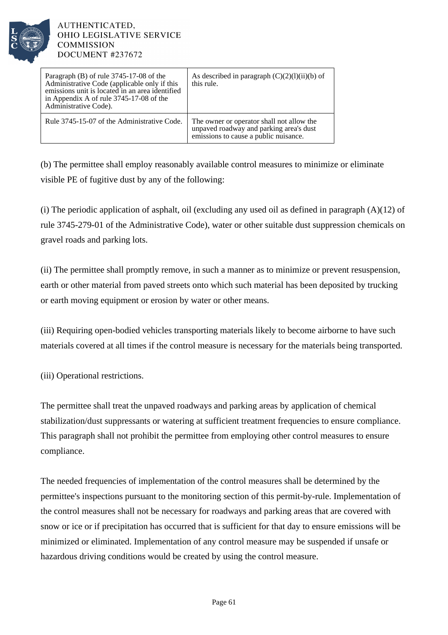

| Paragraph (B) of rule 3745-17-08 of the<br>Administrative Code (applicable only if this<br>emissions unit is located in an area identified<br>in Appendix A of rule 3745-17-08 of the<br>Administrative Code). | As described in paragraph $(C)(2)(1)(ii)(b)$ of<br>this rule.                                                                 |
|----------------------------------------------------------------------------------------------------------------------------------------------------------------------------------------------------------------|-------------------------------------------------------------------------------------------------------------------------------|
| Rule 3745-15-07 of the Administrative Code.                                                                                                                                                                    | The owner or operator shall not allow the<br>unpaved roadway and parking area's dust<br>emissions to cause a public nuisance. |

(b) The permittee shall employ reasonably available control measures to minimize or eliminate visible PE of fugitive dust by any of the following:

(i) The periodic application of asphalt, oil (excluding any used oil as defined in paragraph  $(A)(12)$  of rule 3745-279-01 of the Administrative Code), water or other suitable dust suppression chemicals on gravel roads and parking lots.

(ii) The permittee shall promptly remove, in such a manner as to minimize or prevent resuspension, earth or other material from paved streets onto which such material has been deposited by trucking or earth moving equipment or erosion by water or other means.

(iii) Requiring open-bodied vehicles transporting materials likely to become airborne to have such materials covered at all times if the control measure is necessary for the materials being transported.

(iii) Operational restrictions.

The permittee shall treat the unpaved roadways and parking areas by application of chemical stabilization/dust suppressants or watering at sufficient treatment frequencies to ensure compliance. This paragraph shall not prohibit the permittee from employing other control measures to ensure compliance.

The needed frequencies of implementation of the control measures shall be determined by the permittee's inspections pursuant to the monitoring section of this permit-by-rule. Implementation of the control measures shall not be necessary for roadways and parking areas that are covered with snow or ice or if precipitation has occurred that is sufficient for that day to ensure emissions will be minimized or eliminated. Implementation of any control measure may be suspended if unsafe or hazardous driving conditions would be created by using the control measure.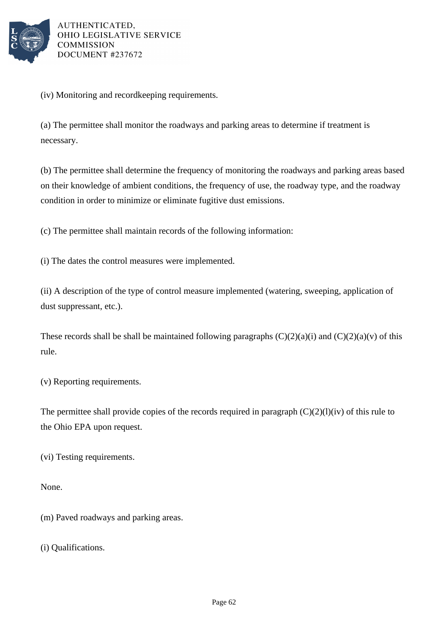

(iv) Monitoring and recordkeeping requirements.

(a) The permittee shall monitor the roadways and parking areas to determine if treatment is necessary.

(b) The permittee shall determine the frequency of monitoring the roadways and parking areas based on their knowledge of ambient conditions, the frequency of use, the roadway type, and the roadway condition in order to minimize or eliminate fugitive dust emissions.

(c) The permittee shall maintain records of the following information:

(i) The dates the control measures were implemented.

(ii) A description of the type of control measure implemented (watering, sweeping, application of dust suppressant, etc.).

These records shall be shall be maintained following paragraphs  $(C)(2)(a)(i)$  and  $(C)(2)(a)(v)$  of this rule.

(v) Reporting requirements.

The permittee shall provide copies of the records required in paragraph  $(C)(2)(1)(iv)$  of this rule to the Ohio EPA upon request.

(vi) Testing requirements.

None.

(m) Paved roadways and parking areas.

(i) Qualifications.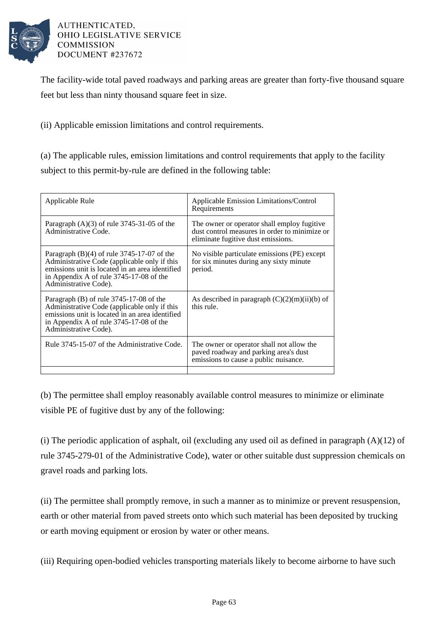

The facility-wide total paved roadways and parking areas are greater than forty-five thousand square feet but less than ninty thousand square feet in size.

(ii) Applicable emission limitations and control requirements.

(a) The applicable rules, emission limitations and control requirements that apply to the facility subject to this permit-by-rule are defined in the following table:

| Applicable Rule                                                                                                                                                                                                     | Applicable Emission Limitations/Control<br>Requirements                                                                            |
|---------------------------------------------------------------------------------------------------------------------------------------------------------------------------------------------------------------------|------------------------------------------------------------------------------------------------------------------------------------|
| Paragraph $(A)(3)$ of rule 3745-31-05 of the<br>Administrative Code.                                                                                                                                                | The owner or operator shall employ fugitive<br>dust control measures in order to minimize or<br>eliminate fugitive dust emissions. |
| Paragraph $(B)(4)$ of rule 3745-17-07 of the<br>Administrative Code (applicable only if this<br>emissions unit is located in an area identified<br>in Appendix A of rule 3745-17-08 of the<br>Administrative Code). | No visible particulate emissions (PE) except<br>for six minutes during any sixty minute<br>period.                                 |
| Paragraph $(B)$ of rule 3745-17-08 of the<br>Administrative Code (applicable only if this<br>emissions unit is located in an area identified<br>in Appendix A of rule 3745-17-08 of the<br>Administrative Code).    | As described in paragraph $(C)(2)(m)(ii)(b)$ of<br>this rule.                                                                      |
| Rule 3745-15-07 of the Administrative Code.                                                                                                                                                                         | The owner or operator shall not allow the<br>paved roadway and parking area's dust<br>emissions to cause a public nuisance.        |
|                                                                                                                                                                                                                     |                                                                                                                                    |

(b) The permittee shall employ reasonably available control measures to minimize or eliminate visible PE of fugitive dust by any of the following:

(i) The periodic application of asphalt, oil (excluding any used oil as defined in paragraph  $(A)(12)$  of rule 3745-279-01 of the Administrative Code), water or other suitable dust suppression chemicals on gravel roads and parking lots.

(ii) The permittee shall promptly remove, in such a manner as to minimize or prevent resuspension, earth or other material from paved streets onto which such material has been deposited by trucking or earth moving equipment or erosion by water or other means.

(iii) Requiring open-bodied vehicles transporting materials likely to become airborne to have such